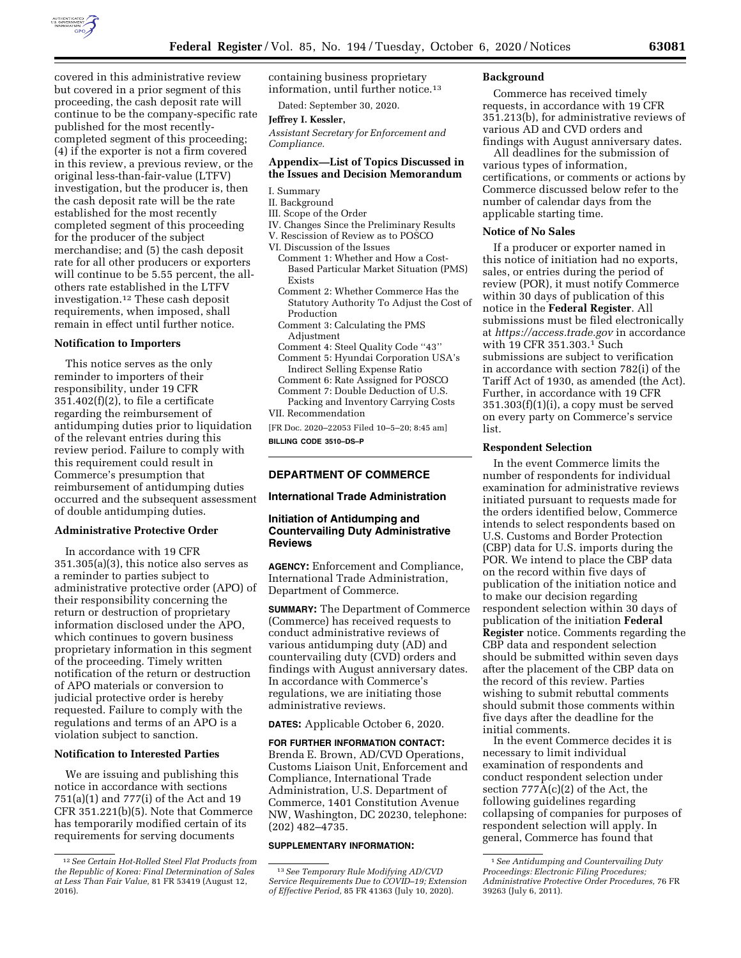

covered in this administrative review but covered in a prior segment of this proceeding, the cash deposit rate will continue to be the company-specific rate published for the most recentlycompleted segment of this proceeding; (4) if the exporter is not a firm covered in this review, a previous review, or the original less-than-fair-value (LTFV) investigation, but the producer is, then the cash deposit rate will be the rate established for the most recently completed segment of this proceeding for the producer of the subject merchandise; and (5) the cash deposit rate for all other producers or exporters will continue to be 5.55 percent, the allothers rate established in the LTFV investigation.12 These cash deposit requirements, when imposed, shall remain in effect until further notice.

## **Notification to Importers**

This notice serves as the only reminder to importers of their responsibility, under 19 CFR 351.402(f)(2), to file a certificate regarding the reimbursement of antidumping duties prior to liquidation of the relevant entries during this review period. Failure to comply with this requirement could result in Commerce's presumption that reimbursement of antidumping duties occurred and the subsequent assessment of double antidumping duties.

# **Administrative Protective Order**

In accordance with 19 CFR 351.305(a)(3), this notice also serves as a reminder to parties subject to administrative protective order (APO) of their responsibility concerning the return or destruction of proprietary information disclosed under the APO, which continues to govern business proprietary information in this segment of the proceeding. Timely written notification of the return or destruction of APO materials or conversion to judicial protective order is hereby requested. Failure to comply with the regulations and terms of an APO is a violation subject to sanction.

#### **Notification to Interested Parties**

We are issuing and publishing this notice in accordance with sections 751(a)(1) and 777(i) of the Act and 19 CFR 351.221(b)(5). Note that Commerce has temporarily modified certain of its requirements for serving documents

containing business proprietary information, until further notice.13

Dated: September 30, 2020.

**Jeffrey I. Kessler,** 

*Assistant Secretary for Enforcement and Compliance.* 

## **Appendix—List of Topics Discussed in the Issues and Decision Memorandum**

- I. Summary
- II. Background
- III. Scope of the Order
- IV. Changes Since the Preliminary Results V. Rescission of Review as to POSCO
- VI. Discussion of the Issues
	- Comment 1: Whether and How a Cost-Based Particular Market Situation (PMS) Exists
	- Comment 2: Whether Commerce Has the Statutory Authority To Adjust the Cost of Production
	- Comment 3: Calculating the PMS Adjustment
	- Comment 4: Steel Quality Code ''43'' Comment 5: Hyundai Corporation USA's
	- Indirect Selling Expense Ratio
	- Comment 6: Rate Assigned for POSCO Comment 7: Double Deduction of U.S.
- Packing and Inventory Carrying Costs
- VII. Recommendation

[FR Doc. 2020–22053 Filed 10–5–20; 8:45 am] **BILLING CODE 3510–DS–P** 

# **DEPARTMENT OF COMMERCE**

#### **International Trade Administration**

# **Initiation of Antidumping and Countervailing Duty Administrative Reviews**

**AGENCY:** Enforcement and Compliance, International Trade Administration, Department of Commerce.

**SUMMARY:** The Department of Commerce (Commerce) has received requests to conduct administrative reviews of various antidumping duty (AD) and countervailing duty (CVD) orders and findings with August anniversary dates. In accordance with Commerce's regulations, we are initiating those administrative reviews.

**DATES:** Applicable October 6, 2020.

**FOR FURTHER INFORMATION CONTACT:**  Brenda E. Brown, AD/CVD Operations, Customs Liaison Unit, Enforcement and Compliance, International Trade Administration, U.S. Department of Commerce, 1401 Constitution Avenue NW, Washington, DC 20230, telephone: (202) 482–4735.

#### **SUPPLEMENTARY INFORMATION:**

#### **Background**

Commerce has received timely requests, in accordance with 19 CFR 351.213(b), for administrative reviews of various AD and CVD orders and findings with August anniversary dates.

All deadlines for the submission of various types of information, certifications, or comments or actions by Commerce discussed below refer to the number of calendar days from the applicable starting time.

# **Notice of No Sales**

If a producer or exporter named in this notice of initiation had no exports, sales, or entries during the period of review (POR), it must notify Commerce within 30 days of publication of this notice in the **Federal Register**. All submissions must be filed electronically at *<https://access.trade.gov>*in accordance with 19 CFR 351.303.1 Such submissions are subject to verification in accordance with section 782(i) of the Tariff Act of 1930, as amended (the Act). Further, in accordance with 19 CFR  $351.303(f)(1)(i)$ , a copy must be served on every party on Commerce's service list.

#### **Respondent Selection**

In the event Commerce limits the number of respondents for individual examination for administrative reviews initiated pursuant to requests made for the orders identified below, Commerce intends to select respondents based on U.S. Customs and Border Protection (CBP) data for U.S. imports during the POR. We intend to place the CBP data on the record within five days of publication of the initiation notice and to make our decision regarding respondent selection within 30 days of publication of the initiation **Federal Register** notice. Comments regarding the CBP data and respondent selection should be submitted within seven days after the placement of the CBP data on the record of this review. Parties wishing to submit rebuttal comments should submit those comments within five days after the deadline for the initial comments.

In the event Commerce decides it is necessary to limit individual examination of respondents and conduct respondent selection under section 777A(c)(2) of the Act, the following guidelines regarding collapsing of companies for purposes of respondent selection will apply. In general, Commerce has found that

<sup>12</sup>*See Certain Hot-Rolled Steel Flat Products from the Republic of Korea: Final Determination of Sales at Less Than Fair Value,* 81 FR 53419 (August 12, 2016).

<sup>13</sup>*See Temporary Rule Modifying AD/CVD Service Requirements Due to COVID–19; Extension of Effective Period,* 85 FR 41363 (July 10, 2020).

<sup>1</sup>*See Antidumping and Countervailing Duty Proceedings: Electronic Filing Procedures; Administrative Protective Order Procedures,* 76 FR 39263 (July 6, 2011).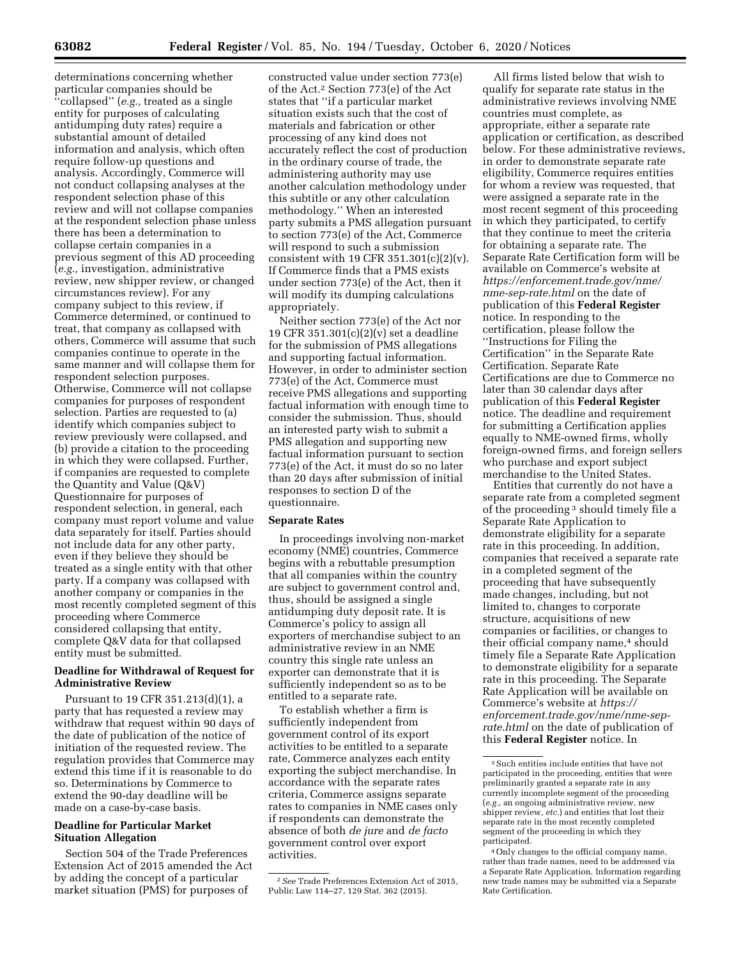determinations concerning whether particular companies should be ''collapsed'' (*e.g.,* treated as a single entity for purposes of calculating antidumping duty rates) require a substantial amount of detailed information and analysis, which often require follow-up questions and analysis. Accordingly, Commerce will not conduct collapsing analyses at the respondent selection phase of this review and will not collapse companies at the respondent selection phase unless there has been a determination to collapse certain companies in a previous segment of this AD proceeding (*e.g.,* investigation, administrative review, new shipper review, or changed circumstances review). For any company subject to this review, if Commerce determined, or continued to treat, that company as collapsed with others, Commerce will assume that such companies continue to operate in the same manner and will collapse them for respondent selection purposes. Otherwise, Commerce will not collapse companies for purposes of respondent selection. Parties are requested to (a) identify which companies subject to review previously were collapsed, and (b) provide a citation to the proceeding in which they were collapsed. Further, if companies are requested to complete the Quantity and Value (Q&V) Questionnaire for purposes of respondent selection, in general, each company must report volume and value data separately for itself. Parties should not include data for any other party, even if they believe they should be treated as a single entity with that other party. If a company was collapsed with another company or companies in the most recently completed segment of this proceeding where Commerce considered collapsing that entity, complete Q&V data for that collapsed entity must be submitted.

# **Deadline for Withdrawal of Request for Administrative Review**

Pursuant to 19 CFR 351.213(d)(1), a party that has requested a review may withdraw that request within 90 days of the date of publication of the notice of initiation of the requested review. The regulation provides that Commerce may extend this time if it is reasonable to do so. Determinations by Commerce to extend the 90-day deadline will be made on a case-by-case basis.

# **Deadline for Particular Market Situation Allegation**

Section 504 of the Trade Preferences Extension Act of 2015 amended the Act by adding the concept of a particular market situation (PMS) for purposes of

constructed value under section 773(e) of the Act.2 Section 773(e) of the Act states that ''if a particular market situation exists such that the cost of materials and fabrication or other processing of any kind does not accurately reflect the cost of production in the ordinary course of trade, the administering authority may use another calculation methodology under this subtitle or any other calculation methodology.'' When an interested party submits a PMS allegation pursuant to section 773(e) of the Act, Commerce will respond to such a submission consistent with 19 CFR  $351.301(c)(2)(v)$ . If Commerce finds that a PMS exists under section 773(e) of the Act, then it will modify its dumping calculations appropriately.

Neither section 773(e) of the Act nor 19 CFR 351.301(c)(2)(v) set a deadline for the submission of PMS allegations and supporting factual information. However, in order to administer section 773(e) of the Act, Commerce must receive PMS allegations and supporting factual information with enough time to consider the submission. Thus, should an interested party wish to submit a PMS allegation and supporting new factual information pursuant to section 773(e) of the Act, it must do so no later than 20 days after submission of initial responses to section D of the questionnaire.

#### **Separate Rates**

In proceedings involving non-market economy (NME) countries, Commerce begins with a rebuttable presumption that all companies within the country are subject to government control and, thus, should be assigned a single antidumping duty deposit rate. It is Commerce's policy to assign all exporters of merchandise subject to an administrative review in an NME country this single rate unless an exporter can demonstrate that it is sufficiently independent so as to be entitled to a separate rate.

To establish whether a firm is sufficiently independent from government control of its export activities to be entitled to a separate rate, Commerce analyzes each entity exporting the subject merchandise. In accordance with the separate rates criteria, Commerce assigns separate rates to companies in NME cases only if respondents can demonstrate the absence of both *de jure* and *de facto*  government control over export activities.

All firms listed below that wish to qualify for separate rate status in the administrative reviews involving NME countries must complete, as appropriate, either a separate rate application or certification, as described below. For these administrative reviews, in order to demonstrate separate rate eligibility, Commerce requires entities for whom a review was requested, that were assigned a separate rate in the most recent segment of this proceeding in which they participated, to certify that they continue to meet the criteria for obtaining a separate rate. The Separate Rate Certification form will be available on Commerce's website at *[https://enforcement.trade.gov/nme/](https://enforcement.trade.gov/nme/nme-sep-rate.html)  [nme-sep-rate.html](https://enforcement.trade.gov/nme/nme-sep-rate.html)* on the date of publication of this **Federal Register**  notice. In responding to the certification, please follow the ''Instructions for Filing the Certification'' in the Separate Rate Certification. Separate Rate Certifications are due to Commerce no later than 30 calendar days after publication of this **Federal Register**  notice. The deadline and requirement for submitting a Certification applies equally to NME-owned firms, wholly foreign-owned firms, and foreign sellers who purchase and export subject merchandise to the United States.

Entities that currently do not have a separate rate from a completed segment of the proceeding 3 should timely file a Separate Rate Application to demonstrate eligibility for a separate rate in this proceeding. In addition, companies that received a separate rate in a completed segment of the proceeding that have subsequently made changes, including, but not limited to, changes to corporate structure, acquisitions of new companies or facilities, or changes to their official company name,<sup>4</sup> should timely file a Separate Rate Application to demonstrate eligibility for a separate rate in this proceeding. The Separate Rate Application will be available on Commerce's website at *[https://](https://enforcement.trade.gov/nme/nme-sep-rate.html) [enforcement.trade.gov/nme/nme-sep](https://enforcement.trade.gov/nme/nme-sep-rate.html)[rate.html](https://enforcement.trade.gov/nme/nme-sep-rate.html)* on the date of publication of this **Federal Register** notice. In

<sup>2</sup>*See* Trade Preferences Extension Act of 2015, Public Law 114–27, 129 Stat. 362 (2015).

<sup>3</sup>Such entities include entities that have not participated in the proceeding, entities that were preliminarily granted a separate rate in any currently incomplete segment of the proceeding (*e.g.,* an ongoing administrative review, new shipper review, *etc.*) and entities that lost their separate rate in the most recently completed segment of the proceeding in which they participated.

<sup>4</sup>Only changes to the official company name, rather than trade names, need to be addressed via a Separate Rate Application. Information regarding new trade names may be submitted via a Separate Rate Certification.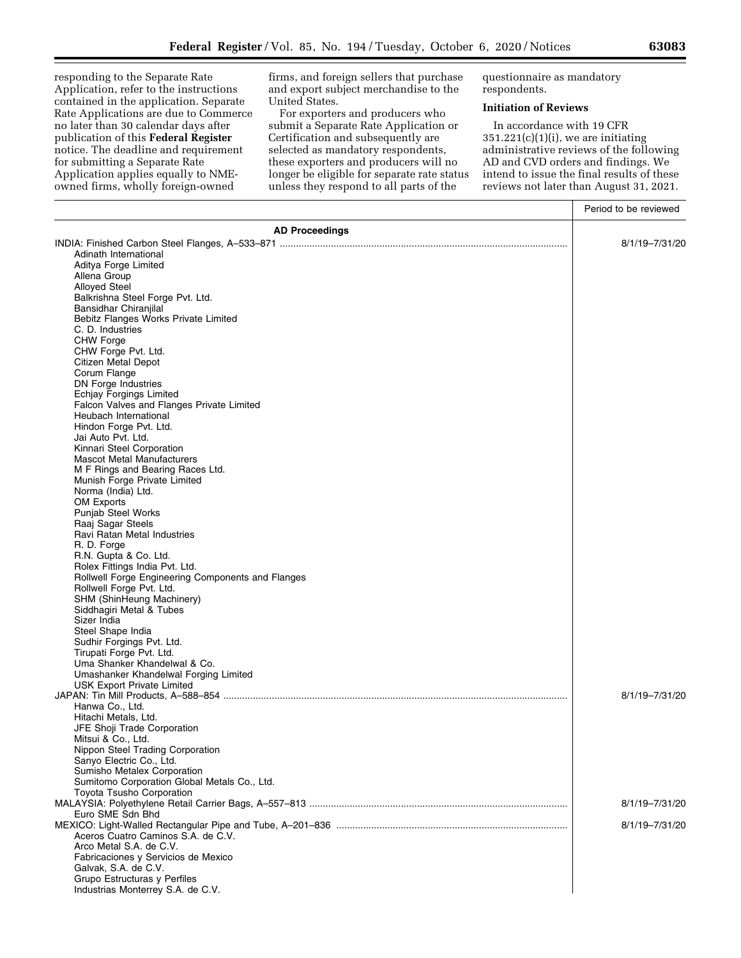responding to the Separate Rate Application, refer to the instructions contained in the application. Separate Rate Applications are due to Commerce no later than 30 calendar days after publication of this **Federal Register**  notice. The deadline and requirement for submitting a Separate Rate Application applies equally to NMEowned firms, wholly foreign-owned

firms, and foreign sellers that purchase and export subject merchandise to the United States.

For exporters and producers who submit a Separate Rate Application or Certification and subsequently are selected as mandatory respondents, these exporters and producers will no longer be eligible for separate rate status unless they respond to all parts of the

questionnaire as mandatory respondents.

## **Initiation of Reviews**

In accordance with 19 CFR  $351.221(c)(1)(i)$ , we are initiating administrative reviews of the following AD and CVD orders and findings. We intend to issue the final results of these reviews not later than August 31, 2021.

|                                                                  | Period to be reviewed |
|------------------------------------------------------------------|-----------------------|
| <b>AD Proceedings</b>                                            |                       |
|                                                                  | 8/1/19-7/31/20        |
| Adinath International                                            |                       |
| Aditya Forge Limited                                             |                       |
| Allena Group                                                     |                       |
| <b>Alloyed Steel</b>                                             |                       |
| Balkrishna Steel Forge Pvt. Ltd.                                 |                       |
| Bansidhar Chiranjilal                                            |                       |
| Bebitz Flanges Works Private Limited                             |                       |
| C. D. Industries                                                 |                       |
| <b>CHW Forge</b><br>CHW Forge Pvt. Ltd.                          |                       |
| Citizen Metal Depot                                              |                       |
| Corum Flange                                                     |                       |
| <b>DN Forge Industries</b>                                       |                       |
| Echjay Forgings Limited                                          |                       |
| Falcon Valves and Flanges Private Limited                        |                       |
| Heubach International                                            |                       |
| Hindon Forge Pvt. Ltd.                                           |                       |
| Jai Auto Pvt. Ltd.                                               |                       |
| Kinnari Steel Corporation                                        |                       |
| <b>Mascot Metal Manufacturers</b>                                |                       |
| M F Rings and Bearing Races Ltd.<br>Munish Forge Private Limited |                       |
| Norma (India) Ltd.                                               |                       |
| OM Exports                                                       |                       |
| <b>Punjab Steel Works</b>                                        |                       |
| Raaj Sagar Steels                                                |                       |
| Ravi Ratan Metal Industries                                      |                       |
| R. D. Forge                                                      |                       |
| R.N. Gupta & Co. Ltd.                                            |                       |
| Rolex Fittings India Pvt. Ltd.                                   |                       |
| Rollwell Forge Engineering Components and Flanges                |                       |
| Rollwell Forge Pvt. Ltd.                                         |                       |
| SHM (ShinHeung Machinery)                                        |                       |
| Siddhagiri Metal & Tubes<br>Sizer India                          |                       |
| Steel Shape India                                                |                       |
| Sudhir Forgings Pvt. Ltd.                                        |                       |
| Tirupati Forge Pvt. Ltd.                                         |                       |
| Uma Shanker Khandelwal & Co.                                     |                       |
| Umashanker Khandelwal Forging Limited                            |                       |
| <b>USK Export Private Limited</b>                                |                       |
|                                                                  | 8/1/19-7/31/20        |
| Hanwa Co., Ltd.                                                  |                       |
| Hitachi Metals, Ltd.                                             |                       |
| JFE Shoji Trade Corporation<br>Mitsui & Co., Ltd.                |                       |
| Nippon Steel Trading Corporation                                 |                       |
| Sanyo Electric Co., Ltd.                                         |                       |
| Sumisho Metalex Corporation                                      |                       |
| Sumitomo Corporation Global Metals Co., Ltd.                     |                       |
| Toyota Tsusho Corporation                                        |                       |
|                                                                  | 8/1/19-7/31/20        |
| Euro SME Sdn Bhd                                                 |                       |
|                                                                  | 8/1/19-7/31/20        |
| Aceros Cuatro Caminos S.A. de C.V.                               |                       |
| Arco Metal S.A. de C.V.                                          |                       |
| Fabricaciones y Servicios de Mexico<br>Galvak, S.A. de C.V.      |                       |
| Grupo Estructuras y Perfiles                                     |                       |
| Industrias Monterrey S.A. de C.V.                                |                       |
|                                                                  |                       |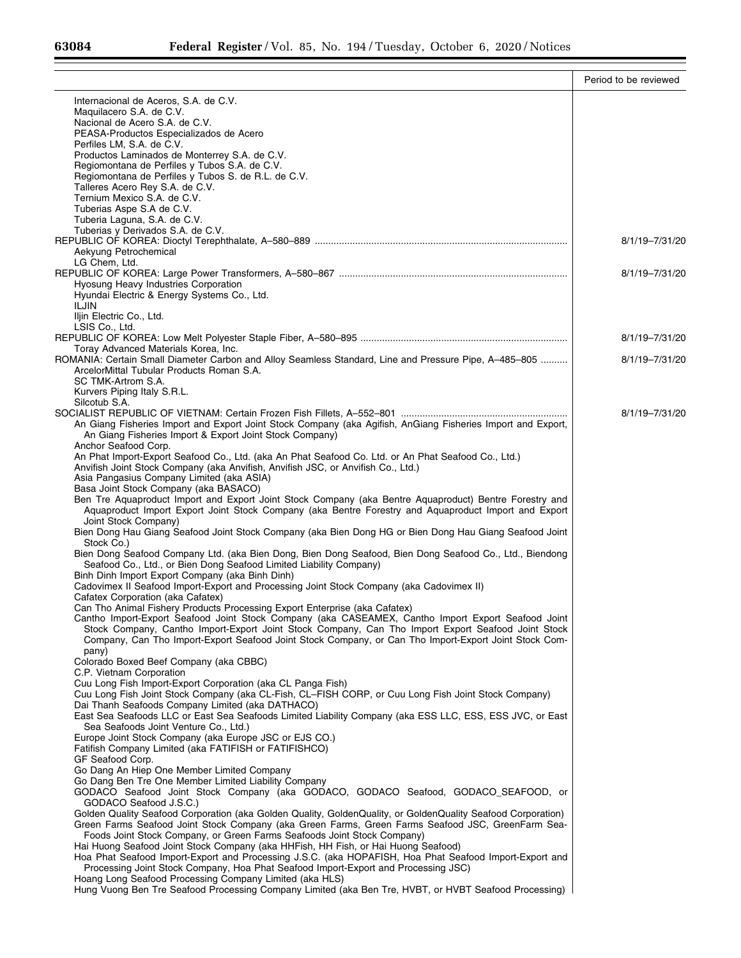|                                                                                                                                                                                                                   | Period to be reviewed |
|-------------------------------------------------------------------------------------------------------------------------------------------------------------------------------------------------------------------|-----------------------|
| Internacional de Aceros, S.A. de C.V.                                                                                                                                                                             |                       |
| Maquilacero S.A. de C.V.                                                                                                                                                                                          |                       |
| Nacional de Acero S.A. de C.V.<br>PEASA-Productos Especializados de Acero                                                                                                                                         |                       |
| Perfiles LM, S.A. de C.V.                                                                                                                                                                                         |                       |
| Productos Laminados de Monterrey S.A. de C.V.                                                                                                                                                                     |                       |
| Regiomontana de Perfiles y Tubos S.A. de C.V.                                                                                                                                                                     |                       |
| Regiomontana de Perfiles y Tubos S. de R.L. de C.V.                                                                                                                                                               |                       |
| Talleres Acero Rey S.A. de C.V.<br>Ternium Mexico S.A. de C.V.                                                                                                                                                    |                       |
| Tuberias Aspe S.A de C.V.                                                                                                                                                                                         |                       |
| Tuberia Laguna, S.A. de C.V.                                                                                                                                                                                      |                       |
| Tuberias y Derivados S.A. de C.V.                                                                                                                                                                                 |                       |
|                                                                                                                                                                                                                   | 8/1/19-7/31/20        |
| Aekyung Petrochemical<br>LG Chem, Ltd.                                                                                                                                                                            |                       |
|                                                                                                                                                                                                                   | 8/1/19-7/31/20        |
| Hyosung Heavy Industries Corporation                                                                                                                                                                              |                       |
| Hyundai Electric & Energy Systems Co., Ltd.                                                                                                                                                                       |                       |
| <b>ILJIN</b>                                                                                                                                                                                                      |                       |
| Iljin Electric Co., Ltd.<br>LSIS Co., Ltd.                                                                                                                                                                        |                       |
|                                                                                                                                                                                                                   | 8/1/19-7/31/20        |
| Toray Advanced Materials Korea, Inc.                                                                                                                                                                              |                       |
| ROMANIA: Certain Small Diameter Carbon and Alloy Seamless Standard, Line and Pressure Pipe, A-485-805                                                                                                             | 8/1/19-7/31/20        |
| ArcelorMittal Tubular Products Roman S.A.                                                                                                                                                                         |                       |
| SC TMK-Artrom S.A.<br>Kurvers Piping Italy S.R.L.                                                                                                                                                                 |                       |
| Silcotub S.A.                                                                                                                                                                                                     |                       |
|                                                                                                                                                                                                                   | 8/1/19-7/31/20        |
| An Giang Fisheries Import and Export Joint Stock Company (aka Agifish, AnGiang Fisheries Import and Export,                                                                                                       |                       |
| An Giang Fisheries Import & Export Joint Stock Company)<br>Anchor Seafood Corp.                                                                                                                                   |                       |
| An Phat Import-Export Seafood Co., Ltd. (aka An Phat Seafood Co. Ltd. or An Phat Seafood Co., Ltd.)                                                                                                               |                       |
| Anvifish Joint Stock Company (aka Anvifish, Anvifish JSC, or Anvifish Co., Ltd.)                                                                                                                                  |                       |
| Asia Pangasius Company Limited (aka ASIA)                                                                                                                                                                         |                       |
| Basa Joint Stock Company (aka BASACO)                                                                                                                                                                             |                       |
| Ben Tre Aquaproduct Import and Export Joint Stock Company (aka Bentre Aquaproduct) Bentre Forestry and<br>Aquaproduct Import Export Joint Stock Company (aka Bentre Forestry and Aquaproduct Import and Export    |                       |
| Joint Stock Company)                                                                                                                                                                                              |                       |
| Bien Dong Hau Giang Seafood Joint Stock Company (aka Bien Dong HG or Bien Dong Hau Giang Seafood Joint                                                                                                            |                       |
| Stock Co.)                                                                                                                                                                                                        |                       |
| Bien Dong Seafood Company Ltd. (aka Bien Dong, Bien Dong Seafood, Bien Dong Seafood Co., Ltd., Biendong                                                                                                           |                       |
| Seafood Co., Ltd., or Bien Dong Seafood Limited Liability Company)<br>Binh Dinh Import Export Company (aka Binh Dinh)                                                                                             |                       |
| Cadovimex II Seafood Import-Export and Processing Joint Stock Company (aka Cadovimex II)                                                                                                                          |                       |
| Cafatex Corporation (aka Cafatex)                                                                                                                                                                                 |                       |
| Can Tho Animal Fishery Products Processing Export Enterprise (aka Cafatex)                                                                                                                                        |                       |
| Cantho Import-Export Seafood Joint Stock Company (aka CASEAMEX, Cantho Import Export Seafood Joint<br>Stock Company, Cantho Import-Export Joint Stock Company, Can Tho Import Export Seafood Joint Stock          |                       |
| Company, Can Tho Import-Export Seafood Joint Stock Company, or Can Tho Import-Export Joint Stock Com-                                                                                                             |                       |
| pany)                                                                                                                                                                                                             |                       |
| Colorado Boxed Beef Company (aka CBBC)                                                                                                                                                                            |                       |
| C.P. Vietnam Corporation                                                                                                                                                                                          |                       |
| Cuu Long Fish Import-Export Corporation (aka CL Panga Fish)<br>Cuu Long Fish Joint Stock Company (aka CL-Fish, CL-FISH CORP, or Cuu Long Fish Joint Stock Company)                                                |                       |
| Dai Thanh Seafoods Company Limited (aka DATHACO)                                                                                                                                                                  |                       |
| East Sea Seafoods LLC or East Sea Seafoods Limited Liability Company (aka ESS LLC, ESS, ESS JVC, or East                                                                                                          |                       |
| Sea Seafoods Joint Venture Co., Ltd.)                                                                                                                                                                             |                       |
| Europe Joint Stock Company (aka Europe JSC or EJS CO.)                                                                                                                                                            |                       |
| Fatifish Company Limited (aka FATIFISH or FATIFISHCO)<br>GF Seafood Corp.                                                                                                                                         |                       |
| Go Dang An Hiep One Member Limited Company                                                                                                                                                                        |                       |
| Go Dang Ben Tre One Member Limited Liability Company                                                                                                                                                              |                       |
| GODACO Seafood Joint Stock Company (aka GODACO, GODACO Seafood, GODACO SEAFOOD, or                                                                                                                                |                       |
| GODACO Seafood J.S.C.)                                                                                                                                                                                            |                       |
| Golden Quality Seafood Corporation (aka Golden Quality, GoldenQuality, or GoldenQuality Seafood Corporation)<br>Green Farms Seafood Joint Stock Company (aka Green Farms, Green Farms Seafood JSC, GreenFarm Sea- |                       |
| Foods Joint Stock Company, or Green Farms Seafoods Joint Stock Company)                                                                                                                                           |                       |
| Hai Huong Seafood Joint Stock Company (aka HHFish, HH Fish, or Hai Huong Seafood)                                                                                                                                 |                       |
| Hoa Phat Seafood Import-Export and Processing J.S.C. (aka HOPAFISH, Hoa Phat Seafood Import-Export and                                                                                                            |                       |
| Processing Joint Stock Company, Hoa Phat Seafood Import-Export and Processing JSC)                                                                                                                                |                       |
| Hoang Long Seafood Processing Company Limited (aka HLS)<br>Hung Vuong Ben Tre Seafood Processing Company Limited (aka Ben Tre, HVBT, or HVBT Seafood Processing)                                                  |                       |
|                                                                                                                                                                                                                   |                       |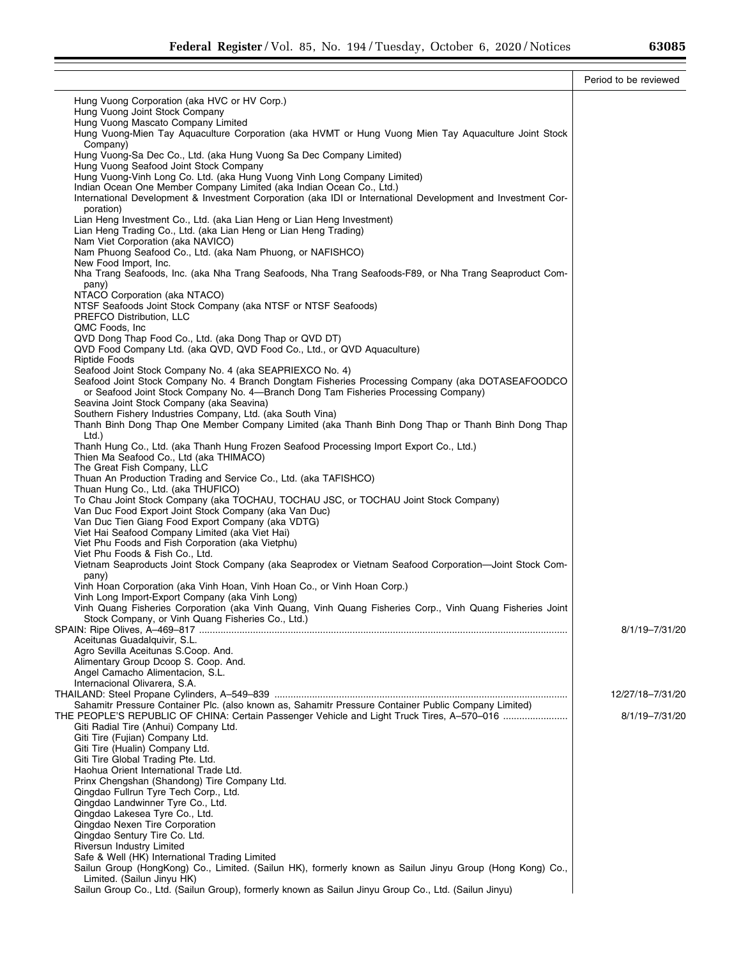|                                                                                                                                                               | Period to be reviewed |
|---------------------------------------------------------------------------------------------------------------------------------------------------------------|-----------------------|
| Hung Vuong Corporation (aka HVC or HV Corp.)                                                                                                                  |                       |
| Hung Vuong Joint Stock Company                                                                                                                                |                       |
| Hung Vuong Mascato Company Limited                                                                                                                            |                       |
| Hung Vuong-Mien Tay Aquaculture Corporation (aka HVMT or Hung Vuong Mien Tay Aquaculture Joint Stock<br>Company)                                              |                       |
| Hung Vuong-Sa Dec Co., Ltd. (aka Hung Vuong Sa Dec Company Limited)<br>Hung Vuong Seafood Joint Stock Company                                                 |                       |
| Hung Vuong-Vinh Long Co. Ltd. (aka Hung Vuong Vinh Long Company Limited)                                                                                      |                       |
| Indian Ocean One Member Company Limited (aka Indian Ocean Co., Ltd.)                                                                                          |                       |
| International Development & Investment Corporation (aka IDI or International Development and Investment Cor-<br>poration)                                     |                       |
| Lian Heng Investment Co., Ltd. (aka Lian Heng or Lian Heng Investment)                                                                                        |                       |
| Lian Heng Trading Co., Ltd. (aka Lian Heng or Lian Heng Trading)                                                                                              |                       |
| Nam Viet Corporation (aka NAVICO)                                                                                                                             |                       |
| Nam Phuong Seafood Co., Ltd. (aka Nam Phuong, or NAFISHCO)<br>New Food Import, Inc.                                                                           |                       |
| Nha Trang Seafoods, Inc. (aka Nha Trang Seafoods, Nha Trang Seafoods-F89, or Nha Trang Seaproduct Com-<br>pany)                                               |                       |
| NTACO Corporation (aka NTACO)                                                                                                                                 |                       |
| NTSF Seafoods Joint Stock Company (aka NTSF or NTSF Seafoods)                                                                                                 |                       |
| PREFCO Distribution, LLC<br>QMC Foods, Inc.                                                                                                                   |                       |
| QVD Dong Thap Food Co., Ltd. (aka Dong Thap or QVD DT)                                                                                                        |                       |
| QVD Food Company Ltd. (aka QVD, QVD Food Co., Ltd., or QVD Aquaculture)                                                                                       |                       |
| <b>Riptide Foods</b>                                                                                                                                          |                       |
| Seafood Joint Stock Company No. 4 (aka SEAPRIEXCO No. 4)<br>Seafood Joint Stock Company No. 4 Branch Dongtam Fisheries Processing Company (aka DOTASEAFOODCO  |                       |
| or Seafood Joint Stock Company No. 4-Branch Dong Tam Fisheries Processing Company)                                                                            |                       |
| Seavina Joint Stock Company (aka Seavina)                                                                                                                     |                       |
| Southern Fishery Industries Company, Ltd. (aka South Vina)                                                                                                    |                       |
| Thanh Binh Dong Thap One Member Company Limited (aka Thanh Binh Dong Thap or Thanh Binh Dong Thap<br>Ltd.)                                                    |                       |
| Thanh Hung Co., Ltd. (aka Thanh Hung Frozen Seafood Processing Import Export Co., Ltd.)                                                                       |                       |
| Thien Ma Seafood Co., Ltd (aka THIMACO)                                                                                                                       |                       |
| The Great Fish Company, LLC                                                                                                                                   |                       |
| Thuan An Production Trading and Service Co., Ltd. (aka TAFISHCO)                                                                                              |                       |
| Thuan Hung Co., Ltd. (aka THUFICO)<br>To Chau Joint Stock Company (aka TOCHAU, TOCHAU JSC, or TOCHAU Joint Stock Company)                                     |                       |
| Van Duc Food Export Joint Stock Company (aka Van Duc)                                                                                                         |                       |
| Van Duc Tien Giang Food Export Company (aka VDTG)                                                                                                             |                       |
| Viet Hai Seafood Company Limited (aka Viet Hai)                                                                                                               |                       |
| Viet Phu Foods and Fish Corporation (aka Vietphu)                                                                                                             |                       |
| Viet Phu Foods & Fish Co., Ltd.<br>Vietnam Seaproducts Joint Stock Company (aka Seaprodex or Vietnam Seafood Corporation-Joint Stock Com-                     |                       |
| pany)                                                                                                                                                         |                       |
| Vinh Hoan Corporation (aka Vinh Hoan, Vinh Hoan Co., or Vinh Hoan Corp.)                                                                                      |                       |
| Vinh Long Import-Export Company (aka Vinh Long)                                                                                                               |                       |
| Vinh Quang Fisheries Corporation (aka Vinh Quang, Vinh Quang Fisheries Corp., Vinh Quang Fisheries Joint<br>Stock Company, or Vinh Quang Fisheries Co., Ltd.) |                       |
|                                                                                                                                                               | 8/1/19-7/31/20        |
| Aceitunas Guadalquivir, S.L.                                                                                                                                  |                       |
| Agro Sevilla Aceitunas S.Coop. And.                                                                                                                           |                       |
| Alimentary Group Dcoop S. Coop. And.<br>Angel Camacho Alimentacion, S.L.                                                                                      |                       |
| Internacional Olivarera, S.A.                                                                                                                                 |                       |
|                                                                                                                                                               | 12/27/18-7/31/20      |
| Sahamitr Pressure Container Plc. (also known as, Sahamitr Pressure Container Public Company Limited)                                                          |                       |
| THE PEOPLE'S REPUBLIC OF CHINA: Certain Passenger Vehicle and Light Truck Tires, A-570-016<br>Giti Radial Tire (Anhui) Company Ltd.                           | 8/1/19-7/31/20        |
| Giti Tire (Fujian) Company Ltd.                                                                                                                               |                       |
| Giti Tire (Hualin) Company Ltd.                                                                                                                               |                       |
| Giti Tire Global Trading Pte. Ltd.                                                                                                                            |                       |
| Haohua Orient International Trade Ltd.                                                                                                                        |                       |
| Prinx Chengshan (Shandong) Tire Company Ltd.<br>Qingdao Fullrun Tyre Tech Corp., Ltd.                                                                         |                       |
| Qingdao Landwinner Tyre Co., Ltd.                                                                                                                             |                       |
| Qingdao Lakesea Tyre Co., Ltd.                                                                                                                                |                       |
| Qingdao Nexen Tire Corporation                                                                                                                                |                       |
| Qingdao Sentury Tire Co. Ltd.                                                                                                                                 |                       |
| Riversun Industry Limited<br>Safe & Well (HK) International Trading Limited                                                                                   |                       |
| Sailun Group (HongKong) Co., Limited. (Sailun HK), formerly known as Sailun Jinyu Group (Hong Kong) Co.,                                                      |                       |
| Limited. (Sailun Jinyu HK)                                                                                                                                    |                       |
| Sailun Group Co., Ltd. (Sailun Group), formerly known as Sailun Jinyu Group Co., Ltd. (Sailun Jinyu)                                                          |                       |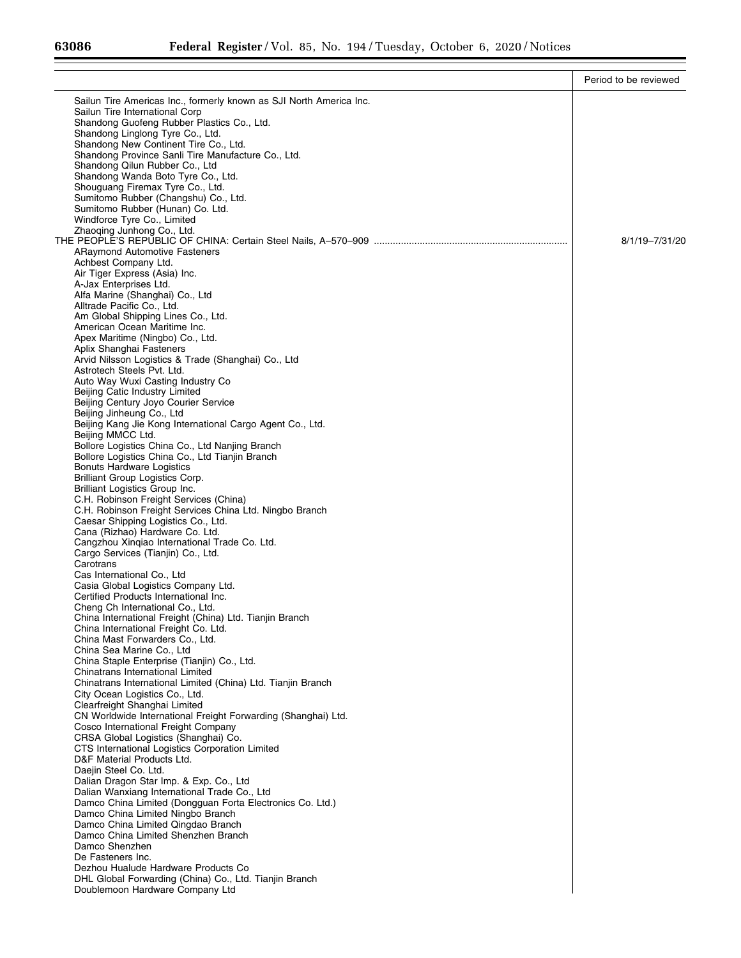|                                                                                                | Period to be reviewed |
|------------------------------------------------------------------------------------------------|-----------------------|
| Sailun Tire Americas Inc., formerly known as SJI North America Inc.                            |                       |
| Sailun Tire International Corp                                                                 |                       |
| Shandong Guofeng Rubber Plastics Co., Ltd.                                                     |                       |
| Shandong Linglong Tyre Co., Ltd.                                                               |                       |
| Shandong New Continent Tire Co., Ltd.                                                          |                       |
| Shandong Province Sanli Tire Manufacture Co., Ltd.                                             |                       |
| Shandong Qilun Rubber Co., Ltd<br>Shandong Wanda Boto Tyre Co., Ltd.                           |                       |
| Shouguang Firemax Tyre Co., Ltd.                                                               |                       |
| Sumitomo Rubber (Changshu) Co., Ltd.                                                           |                       |
| Sumitomo Rubber (Hunan) Co. Ltd.                                                               |                       |
| Windforce Tyre Co., Limited                                                                    |                       |
| Zhaoqing Junhong Co., Ltd.                                                                     | 8/1/19-7/31/20        |
| <b>ARaymond Automotive Fasteners</b>                                                           |                       |
| Achbest Company Ltd.                                                                           |                       |
| Air Tiger Express (Asia) Inc.                                                                  |                       |
| A-Jax Enterprises Ltd.                                                                         |                       |
| Alfa Marine (Shanghai) Co., Ltd                                                                |                       |
| Alltrade Pacific Co., Ltd.                                                                     |                       |
| Am Global Shipping Lines Co., Ltd.<br>American Ocean Maritime Inc.                             |                       |
| Apex Maritime (Ningbo) Co., Ltd.                                                               |                       |
| Aplix Shanghai Fasteners                                                                       |                       |
| Arvid Nilsson Logistics & Trade (Shanghai) Co., Ltd                                            |                       |
| Astrotech Steels Pvt. Ltd.                                                                     |                       |
| Auto Way Wuxi Casting Industry Co<br>Beijing Catic Industry Limited                            |                       |
| Beijing Century Joyo Courier Service                                                           |                       |
| Beijing Jinheung Co., Ltd                                                                      |                       |
| Beijing Kang Jie Kong International Cargo Agent Co., Ltd.                                      |                       |
| Beijing MMCC Ltd.                                                                              |                       |
| Bollore Logistics China Co., Ltd Nanjing Branch                                                |                       |
| Bollore Logistics China Co., Ltd Tianjin Branch                                                |                       |
| <b>Bonuts Hardware Logistics</b><br>Brilliant Group Logistics Corp.                            |                       |
| Brilliant Logistics Group Inc.                                                                 |                       |
| C.H. Robinson Freight Services (China)                                                         |                       |
| C.H. Robinson Freight Services China Ltd. Ningbo Branch                                        |                       |
| Caesar Shipping Logistics Co., Ltd.                                                            |                       |
| Cana (Rizhao) Hardware Co. Ltd.<br>Cangzhou Xingiao International Trade Co. Ltd.               |                       |
| Cargo Services (Tianjin) Co., Ltd.                                                             |                       |
| Carotrans                                                                                      |                       |
| Cas International Co., Ltd                                                                     |                       |
| Casia Global Logistics Company Ltd.                                                            |                       |
| Certified Products International Inc.                                                          |                       |
| Cheng Ch International Co., Ltd.<br>China International Freight (China) Ltd. Tianjin Branch    |                       |
| China International Freight Co. Ltd.                                                           |                       |
| China Mast Forwarders Co., Ltd.                                                                |                       |
| China Sea Marine Co., Ltd                                                                      |                       |
| China Staple Enterprise (Tianjin) Co., Ltd.                                                    |                       |
| Chinatrans International Limited                                                               |                       |
| Chinatrans International Limited (China) Ltd. Tianjin Branch<br>City Ocean Logistics Co., Ltd. |                       |
| Clearfreight Shanghai Limited                                                                  |                       |
| CN Worldwide International Freight Forwarding (Shanghai) Ltd.                                  |                       |
| Cosco International Freight Company                                                            |                       |
| CRSA Global Logistics (Shanghai) Co.                                                           |                       |
| CTS International Logistics Corporation Limited                                                |                       |
| D&F Material Products Ltd.<br>Daejin Steel Co. Ltd.                                            |                       |
| Dalian Dragon Star Imp. & Exp. Co., Ltd                                                        |                       |
| Dalian Wanxiang International Trade Co., Ltd                                                   |                       |
| Damco China Limited (Dongguan Forta Electronics Co. Ltd.)                                      |                       |
| Damco China Limited Ningbo Branch                                                              |                       |
| Damco China Limited Qingdao Branch                                                             |                       |
| Damco China Limited Shenzhen Branch                                                            |                       |
| Damco Shenzhen<br>De Fasteners Inc.                                                            |                       |
| Dezhou Hualude Hardware Products Co                                                            |                       |
| DHL Global Forwarding (China) Co., Ltd. Tianjin Branch                                         |                       |
| Doublemoon Hardware Company Ltd                                                                |                       |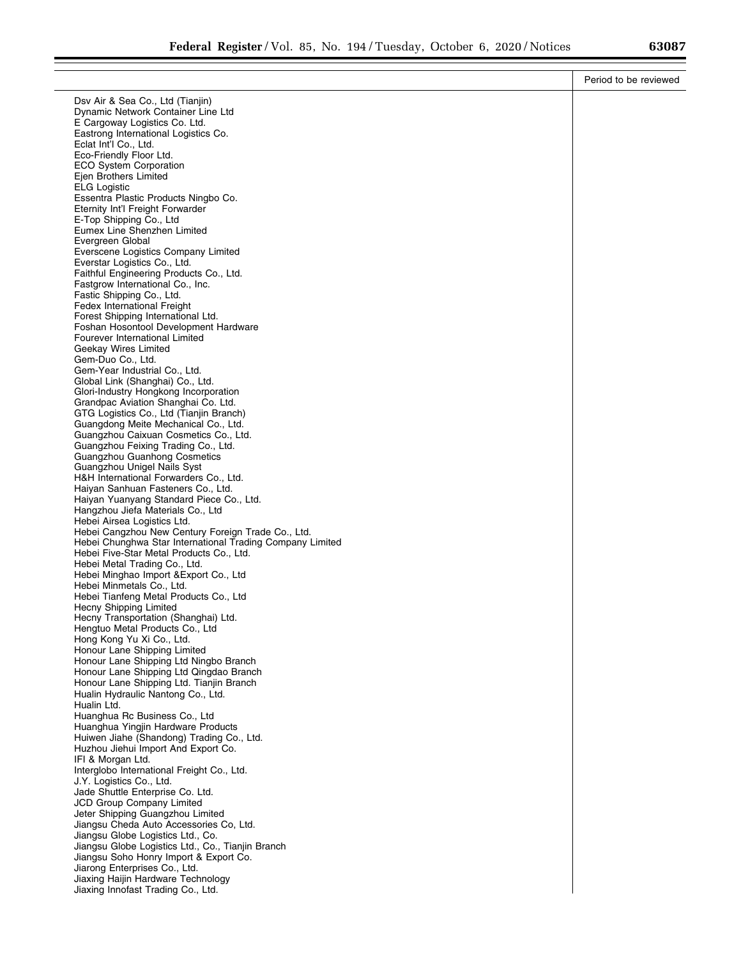|                                                                                                                 | Period to be reviewed |
|-----------------------------------------------------------------------------------------------------------------|-----------------------|
| Dsv Air & Sea Co., Ltd (Tianjin)                                                                                |                       |
| Dynamic Network Container Line Ltd                                                                              |                       |
| E Cargoway Logistics Co. Ltd.                                                                                   |                       |
| Eastrong International Logistics Co.<br>Eclat Int'l Co., Ltd.                                                   |                       |
| Eco-Friendly Floor Ltd.                                                                                         |                       |
| <b>ECO System Corporation</b>                                                                                   |                       |
| Ejen Brothers Limited                                                                                           |                       |
| <b>ELG Logistic</b>                                                                                             |                       |
| Essentra Plastic Products Ningbo Co.<br>Eternity Int'l Freight Forwarder                                        |                       |
| E-Top Shipping Co., Ltd                                                                                         |                       |
| Eumex Line Shenzhen Limited                                                                                     |                       |
| Evergreen Global                                                                                                |                       |
| Everscene Logistics Company Limited<br>Everstar Logistics Co., Ltd.                                             |                       |
| Faithful Engineering Products Co., Ltd.                                                                         |                       |
| Fastgrow International Co., Inc.                                                                                |                       |
| Fastic Shipping Co., Ltd.                                                                                       |                       |
| <b>Fedex International Freight</b><br>Forest Shipping International Ltd.                                        |                       |
| Foshan Hosontool Development Hardware                                                                           |                       |
| Fourever International Limited                                                                                  |                       |
| Geekay Wires Limited                                                                                            |                       |
| Gem-Duo Co., Ltd.<br>Gem-Year Industrial Co., Ltd.                                                              |                       |
| Global Link (Shanghai) Co., Ltd.                                                                                |                       |
| Glori-Industry Hongkong Incorporation                                                                           |                       |
| Grandpac Aviation Shanghai Co. Ltd.                                                                             |                       |
| GTG Logistics Co., Ltd (Tianjin Branch)                                                                         |                       |
| Guangdong Meite Mechanical Co., Ltd.<br>Guangzhou Caixuan Cosmetics Co., Ltd.                                   |                       |
| Guangzhou Feixing Trading Co., Ltd.                                                                             |                       |
| <b>Guangzhou Guanhong Cosmetics</b>                                                                             |                       |
| Guangzhou Unigel Nails Syst                                                                                     |                       |
| H&H International Forwarders Co., Ltd.<br>Haiyan Sanhuan Fasteners Co., Ltd.                                    |                       |
| Haiyan Yuanyang Standard Piece Co., Ltd.                                                                        |                       |
| Hangzhou Jiefa Materials Co., Ltd                                                                               |                       |
| Hebei Airsea Logistics Ltd.                                                                                     |                       |
| Hebei Cangzhou New Century Foreign Trade Co., Ltd.<br>Hebei Chunghwa Star International Trading Company Limited |                       |
| Hebei Five-Star Metal Products Co., Ltd.                                                                        |                       |
| Hebei Metal Trading Co., Ltd.                                                                                   |                       |
| Hebei Minghao Import & Export Co., Ltd                                                                          |                       |
| Hebei Minmetals Co., Ltd.<br>Hebei Tianfeng Metal Products Co., Ltd                                             |                       |
| Hecny Shipping Limited                                                                                          |                       |
| Hecny Transportation (Shanghai) Ltd.                                                                            |                       |
| Hengtuo Metal Products Co., Ltd                                                                                 |                       |
| Hong Kong Yu Xi Co., Ltd.                                                                                       |                       |
| Honour Lane Shipping Limited<br>Honour Lane Shipping Ltd Ningbo Branch                                          |                       |
| Honour Lane Shipping Ltd Qingdao Branch                                                                         |                       |
| Honour Lane Shipping Ltd. Tianjin Branch                                                                        |                       |
| Hualin Hydraulic Nantong Co., Ltd.                                                                              |                       |
| Hualin Ltd.<br>Huanghua Rc Business Co., Ltd                                                                    |                       |
| Huanghua Yingjin Hardware Products                                                                              |                       |
| Huiwen Jiahe (Shandong) Trading Co., Ltd.                                                                       |                       |
| Huzhou Jiehui Import And Export Co.                                                                             |                       |
| IFI & Morgan Ltd.                                                                                               |                       |
| Interglobo International Freight Co., Ltd.<br>J.Y. Logistics Co., Ltd.                                          |                       |
| Jade Shuttle Enterprise Co. Ltd.                                                                                |                       |
| JCD Group Company Limited                                                                                       |                       |
| Jeter Shipping Guangzhou Limited                                                                                |                       |
| Jiangsu Cheda Auto Accessories Co, Ltd.<br>Jiangsu Globe Logistics Ltd., Co.                                    |                       |
| Jiangsu Globe Logistics Ltd., Co., Tianjin Branch                                                               |                       |
| Jiangsu Soho Honry Import & Export Co.                                                                          |                       |
| Jiarong Enterprises Co., Ltd.                                                                                   |                       |
| Jiaxing Haijin Hardware Technology                                                                              |                       |
| Jiaxing Innofast Trading Co., Ltd.                                                                              |                       |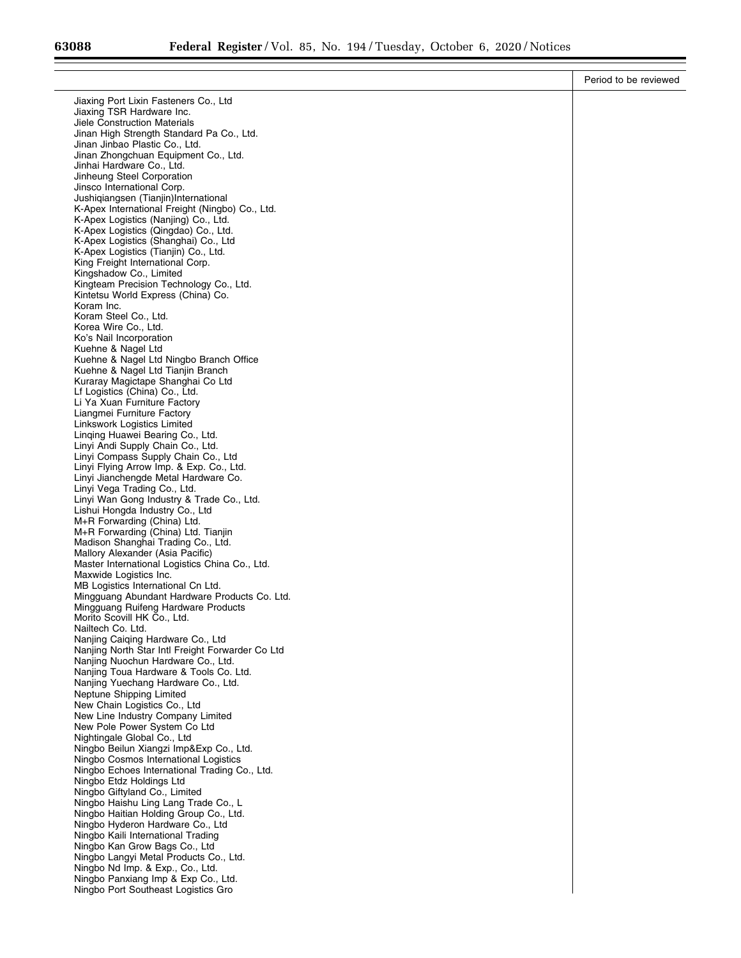| Jiaxing Port Lixin Fasteners Co., Ltd<br>Jiaxing TSR Hardware Inc.<br>Jiele Construction Materials<br>Jinan High Strength Standard Pa Co., Ltd.<br>Jinan Jinbao Plastic Co., Ltd.<br>Jinan Zhongchuan Equipment Co., Ltd.<br>Jinhai Hardware Co., Ltd.<br>Jinheung Steel Corporation<br>Jinsco International Corp.<br>Jushigiangsen (Tianjin)International<br>K-Apex International Freight (Ningbo) Co., Ltd.<br>K-Apex Logistics (Nanjing) Co., Ltd.<br>K-Apex Logistics (Qingdao) Co., Ltd.<br>K-Apex Logistics (Shanghai) Co., Ltd<br>K-Apex Logistics (Tianjin) Co., Ltd.<br>King Freight International Corp.<br>Kingshadow Co., Limited<br>Kingteam Precision Technology Co., Ltd.<br>Kintetsu World Express (China) Co.<br>Koram Inc.<br>Koram Steel Co., Ltd.<br>Korea Wire Co., Ltd.<br>Ko's Nail Incorporation<br>Kuehne & Nagel Ltd<br>Kuehne & Nagel Ltd Ningbo Branch Office<br>Kuehne & Nagel Ltd Tianjin Branch<br>Kuraray Magictape Shanghai Co Ltd<br>Lf Logistics (China) Co., Ltd.<br>Li Ya Xuan Furniture Factory<br>Liangmei Furniture Factory<br>Linkswork Logistics Limited<br>Linqing Huawei Bearing Co., Ltd.<br>Linyi Andi Supply Chain Co., Ltd.<br>Linyi Compass Supply Chain Co., Ltd<br>Linyi Flying Arrow Imp. & Exp. Co., Ltd.<br>Linyi Jianchengde Metal Hardware Co.<br>Linyi Vega Trading Co., Ltd.<br>Linyi Wan Gong Industry & Trade Co., Ltd.<br>Lishui Hongda Industry Co., Ltd<br>M+R Forwarding (China) Ltd.<br>M+R Forwarding (China) Ltd. Tianjin<br>Madison Shanghai Trading Co., Ltd.<br>Mallory Alexander (Asia Pacific)<br>Master International Logistics China Co., Ltd.<br>Maxwide Logistics Inc.<br>MB Logistics International Cn Ltd.<br>Mingguang Abundant Hardware Products Co. Ltd.<br>Mingguang Ruifeng Hardware Products<br>Morito Scovill HK Co., Ltd.<br>Nailtech Co. Ltd.<br>Nanjing Caiqing Hardware Co., Ltd<br>Nanjing North Star Intl Freight Forwarder Co Ltd<br>Nanjing Nuochun Hardware Co., Ltd.<br>Nanjing Toua Hardware & Tools Co. Ltd.<br>Nanjing Yuechang Hardware Co., Ltd.<br>Neptune Shipping Limited<br>New Chain Logistics Co., Ltd<br>New Line Industry Company Limited<br>New Pole Power System Co Ltd<br>Nightingale Global Co., Ltd<br>Ningbo Beilun Xiangzi Imp&Exp Co., Ltd.<br>Ningbo Cosmos International Logistics<br>Ningbo Echoes International Trading Co., Ltd.<br>Ningbo Etdz Holdings Ltd<br>Ningbo Giftyland Co., Limited<br>Ningbo Haishu Ling Lang Trade Co., L<br>Ningbo Haitian Holding Group Co., Ltd.<br>Ningbo Hyderon Hardware Co., Ltd<br>Ningbo Kaili International Trading<br>Ningbo Kan Grow Bags Co., Ltd<br>Ningbo Langyi Metal Products Co., Ltd.<br>Ningbo Nd Imp. & Exp., Co., Ltd.<br>Ningbo Panxiang Imp & Exp Co., Ltd.<br>Ningbo Port Southeast Logistics Gro | Period to be reviewed |
|--------------------------------------------------------------------------------------------------------------------------------------------------------------------------------------------------------------------------------------------------------------------------------------------------------------------------------------------------------------------------------------------------------------------------------------------------------------------------------------------------------------------------------------------------------------------------------------------------------------------------------------------------------------------------------------------------------------------------------------------------------------------------------------------------------------------------------------------------------------------------------------------------------------------------------------------------------------------------------------------------------------------------------------------------------------------------------------------------------------------------------------------------------------------------------------------------------------------------------------------------------------------------------------------------------------------------------------------------------------------------------------------------------------------------------------------------------------------------------------------------------------------------------------------------------------------------------------------------------------------------------------------------------------------------------------------------------------------------------------------------------------------------------------------------------------------------------------------------------------------------------------------------------------------------------------------------------------------------------------------------------------------------------------------------------------------------------------------------------------------------------------------------------------------------------------------------------------------------------------------------------------------------------------------------------------------------------------------------------------------------------------------------------------------------------------------------------------------------------------------------------------------------------------------------------------------------------------------------------------------------------------------------------------------------------------------------------------------------------------------------------------------------------|-----------------------|
|                                                                                                                                                                                                                                                                                                                                                                                                                                                                                                                                                                                                                                                                                                                                                                                                                                                                                                                                                                                                                                                                                                                                                                                                                                                                                                                                                                                                                                                                                                                                                                                                                                                                                                                                                                                                                                                                                                                                                                                                                                                                                                                                                                                                                                                                                                                                                                                                                                                                                                                                                                                                                                                                                                                                                                                |                       |
|                                                                                                                                                                                                                                                                                                                                                                                                                                                                                                                                                                                                                                                                                                                                                                                                                                                                                                                                                                                                                                                                                                                                                                                                                                                                                                                                                                                                                                                                                                                                                                                                                                                                                                                                                                                                                                                                                                                                                                                                                                                                                                                                                                                                                                                                                                                                                                                                                                                                                                                                                                                                                                                                                                                                                                                |                       |
|                                                                                                                                                                                                                                                                                                                                                                                                                                                                                                                                                                                                                                                                                                                                                                                                                                                                                                                                                                                                                                                                                                                                                                                                                                                                                                                                                                                                                                                                                                                                                                                                                                                                                                                                                                                                                                                                                                                                                                                                                                                                                                                                                                                                                                                                                                                                                                                                                                                                                                                                                                                                                                                                                                                                                                                |                       |
|                                                                                                                                                                                                                                                                                                                                                                                                                                                                                                                                                                                                                                                                                                                                                                                                                                                                                                                                                                                                                                                                                                                                                                                                                                                                                                                                                                                                                                                                                                                                                                                                                                                                                                                                                                                                                                                                                                                                                                                                                                                                                                                                                                                                                                                                                                                                                                                                                                                                                                                                                                                                                                                                                                                                                                                |                       |
|                                                                                                                                                                                                                                                                                                                                                                                                                                                                                                                                                                                                                                                                                                                                                                                                                                                                                                                                                                                                                                                                                                                                                                                                                                                                                                                                                                                                                                                                                                                                                                                                                                                                                                                                                                                                                                                                                                                                                                                                                                                                                                                                                                                                                                                                                                                                                                                                                                                                                                                                                                                                                                                                                                                                                                                |                       |
|                                                                                                                                                                                                                                                                                                                                                                                                                                                                                                                                                                                                                                                                                                                                                                                                                                                                                                                                                                                                                                                                                                                                                                                                                                                                                                                                                                                                                                                                                                                                                                                                                                                                                                                                                                                                                                                                                                                                                                                                                                                                                                                                                                                                                                                                                                                                                                                                                                                                                                                                                                                                                                                                                                                                                                                |                       |
|                                                                                                                                                                                                                                                                                                                                                                                                                                                                                                                                                                                                                                                                                                                                                                                                                                                                                                                                                                                                                                                                                                                                                                                                                                                                                                                                                                                                                                                                                                                                                                                                                                                                                                                                                                                                                                                                                                                                                                                                                                                                                                                                                                                                                                                                                                                                                                                                                                                                                                                                                                                                                                                                                                                                                                                |                       |
|                                                                                                                                                                                                                                                                                                                                                                                                                                                                                                                                                                                                                                                                                                                                                                                                                                                                                                                                                                                                                                                                                                                                                                                                                                                                                                                                                                                                                                                                                                                                                                                                                                                                                                                                                                                                                                                                                                                                                                                                                                                                                                                                                                                                                                                                                                                                                                                                                                                                                                                                                                                                                                                                                                                                                                                |                       |
|                                                                                                                                                                                                                                                                                                                                                                                                                                                                                                                                                                                                                                                                                                                                                                                                                                                                                                                                                                                                                                                                                                                                                                                                                                                                                                                                                                                                                                                                                                                                                                                                                                                                                                                                                                                                                                                                                                                                                                                                                                                                                                                                                                                                                                                                                                                                                                                                                                                                                                                                                                                                                                                                                                                                                                                |                       |
|                                                                                                                                                                                                                                                                                                                                                                                                                                                                                                                                                                                                                                                                                                                                                                                                                                                                                                                                                                                                                                                                                                                                                                                                                                                                                                                                                                                                                                                                                                                                                                                                                                                                                                                                                                                                                                                                                                                                                                                                                                                                                                                                                                                                                                                                                                                                                                                                                                                                                                                                                                                                                                                                                                                                                                                |                       |
|                                                                                                                                                                                                                                                                                                                                                                                                                                                                                                                                                                                                                                                                                                                                                                                                                                                                                                                                                                                                                                                                                                                                                                                                                                                                                                                                                                                                                                                                                                                                                                                                                                                                                                                                                                                                                                                                                                                                                                                                                                                                                                                                                                                                                                                                                                                                                                                                                                                                                                                                                                                                                                                                                                                                                                                |                       |
|                                                                                                                                                                                                                                                                                                                                                                                                                                                                                                                                                                                                                                                                                                                                                                                                                                                                                                                                                                                                                                                                                                                                                                                                                                                                                                                                                                                                                                                                                                                                                                                                                                                                                                                                                                                                                                                                                                                                                                                                                                                                                                                                                                                                                                                                                                                                                                                                                                                                                                                                                                                                                                                                                                                                                                                |                       |
|                                                                                                                                                                                                                                                                                                                                                                                                                                                                                                                                                                                                                                                                                                                                                                                                                                                                                                                                                                                                                                                                                                                                                                                                                                                                                                                                                                                                                                                                                                                                                                                                                                                                                                                                                                                                                                                                                                                                                                                                                                                                                                                                                                                                                                                                                                                                                                                                                                                                                                                                                                                                                                                                                                                                                                                |                       |
|                                                                                                                                                                                                                                                                                                                                                                                                                                                                                                                                                                                                                                                                                                                                                                                                                                                                                                                                                                                                                                                                                                                                                                                                                                                                                                                                                                                                                                                                                                                                                                                                                                                                                                                                                                                                                                                                                                                                                                                                                                                                                                                                                                                                                                                                                                                                                                                                                                                                                                                                                                                                                                                                                                                                                                                |                       |
|                                                                                                                                                                                                                                                                                                                                                                                                                                                                                                                                                                                                                                                                                                                                                                                                                                                                                                                                                                                                                                                                                                                                                                                                                                                                                                                                                                                                                                                                                                                                                                                                                                                                                                                                                                                                                                                                                                                                                                                                                                                                                                                                                                                                                                                                                                                                                                                                                                                                                                                                                                                                                                                                                                                                                                                |                       |
|                                                                                                                                                                                                                                                                                                                                                                                                                                                                                                                                                                                                                                                                                                                                                                                                                                                                                                                                                                                                                                                                                                                                                                                                                                                                                                                                                                                                                                                                                                                                                                                                                                                                                                                                                                                                                                                                                                                                                                                                                                                                                                                                                                                                                                                                                                                                                                                                                                                                                                                                                                                                                                                                                                                                                                                |                       |
|                                                                                                                                                                                                                                                                                                                                                                                                                                                                                                                                                                                                                                                                                                                                                                                                                                                                                                                                                                                                                                                                                                                                                                                                                                                                                                                                                                                                                                                                                                                                                                                                                                                                                                                                                                                                                                                                                                                                                                                                                                                                                                                                                                                                                                                                                                                                                                                                                                                                                                                                                                                                                                                                                                                                                                                |                       |
|                                                                                                                                                                                                                                                                                                                                                                                                                                                                                                                                                                                                                                                                                                                                                                                                                                                                                                                                                                                                                                                                                                                                                                                                                                                                                                                                                                                                                                                                                                                                                                                                                                                                                                                                                                                                                                                                                                                                                                                                                                                                                                                                                                                                                                                                                                                                                                                                                                                                                                                                                                                                                                                                                                                                                                                |                       |
|                                                                                                                                                                                                                                                                                                                                                                                                                                                                                                                                                                                                                                                                                                                                                                                                                                                                                                                                                                                                                                                                                                                                                                                                                                                                                                                                                                                                                                                                                                                                                                                                                                                                                                                                                                                                                                                                                                                                                                                                                                                                                                                                                                                                                                                                                                                                                                                                                                                                                                                                                                                                                                                                                                                                                                                |                       |
|                                                                                                                                                                                                                                                                                                                                                                                                                                                                                                                                                                                                                                                                                                                                                                                                                                                                                                                                                                                                                                                                                                                                                                                                                                                                                                                                                                                                                                                                                                                                                                                                                                                                                                                                                                                                                                                                                                                                                                                                                                                                                                                                                                                                                                                                                                                                                                                                                                                                                                                                                                                                                                                                                                                                                                                |                       |
|                                                                                                                                                                                                                                                                                                                                                                                                                                                                                                                                                                                                                                                                                                                                                                                                                                                                                                                                                                                                                                                                                                                                                                                                                                                                                                                                                                                                                                                                                                                                                                                                                                                                                                                                                                                                                                                                                                                                                                                                                                                                                                                                                                                                                                                                                                                                                                                                                                                                                                                                                                                                                                                                                                                                                                                |                       |
|                                                                                                                                                                                                                                                                                                                                                                                                                                                                                                                                                                                                                                                                                                                                                                                                                                                                                                                                                                                                                                                                                                                                                                                                                                                                                                                                                                                                                                                                                                                                                                                                                                                                                                                                                                                                                                                                                                                                                                                                                                                                                                                                                                                                                                                                                                                                                                                                                                                                                                                                                                                                                                                                                                                                                                                |                       |
|                                                                                                                                                                                                                                                                                                                                                                                                                                                                                                                                                                                                                                                                                                                                                                                                                                                                                                                                                                                                                                                                                                                                                                                                                                                                                                                                                                                                                                                                                                                                                                                                                                                                                                                                                                                                                                                                                                                                                                                                                                                                                                                                                                                                                                                                                                                                                                                                                                                                                                                                                                                                                                                                                                                                                                                |                       |
|                                                                                                                                                                                                                                                                                                                                                                                                                                                                                                                                                                                                                                                                                                                                                                                                                                                                                                                                                                                                                                                                                                                                                                                                                                                                                                                                                                                                                                                                                                                                                                                                                                                                                                                                                                                                                                                                                                                                                                                                                                                                                                                                                                                                                                                                                                                                                                                                                                                                                                                                                                                                                                                                                                                                                                                |                       |
|                                                                                                                                                                                                                                                                                                                                                                                                                                                                                                                                                                                                                                                                                                                                                                                                                                                                                                                                                                                                                                                                                                                                                                                                                                                                                                                                                                                                                                                                                                                                                                                                                                                                                                                                                                                                                                                                                                                                                                                                                                                                                                                                                                                                                                                                                                                                                                                                                                                                                                                                                                                                                                                                                                                                                                                |                       |
|                                                                                                                                                                                                                                                                                                                                                                                                                                                                                                                                                                                                                                                                                                                                                                                                                                                                                                                                                                                                                                                                                                                                                                                                                                                                                                                                                                                                                                                                                                                                                                                                                                                                                                                                                                                                                                                                                                                                                                                                                                                                                                                                                                                                                                                                                                                                                                                                                                                                                                                                                                                                                                                                                                                                                                                |                       |
|                                                                                                                                                                                                                                                                                                                                                                                                                                                                                                                                                                                                                                                                                                                                                                                                                                                                                                                                                                                                                                                                                                                                                                                                                                                                                                                                                                                                                                                                                                                                                                                                                                                                                                                                                                                                                                                                                                                                                                                                                                                                                                                                                                                                                                                                                                                                                                                                                                                                                                                                                                                                                                                                                                                                                                                |                       |
|                                                                                                                                                                                                                                                                                                                                                                                                                                                                                                                                                                                                                                                                                                                                                                                                                                                                                                                                                                                                                                                                                                                                                                                                                                                                                                                                                                                                                                                                                                                                                                                                                                                                                                                                                                                                                                                                                                                                                                                                                                                                                                                                                                                                                                                                                                                                                                                                                                                                                                                                                                                                                                                                                                                                                                                |                       |
|                                                                                                                                                                                                                                                                                                                                                                                                                                                                                                                                                                                                                                                                                                                                                                                                                                                                                                                                                                                                                                                                                                                                                                                                                                                                                                                                                                                                                                                                                                                                                                                                                                                                                                                                                                                                                                                                                                                                                                                                                                                                                                                                                                                                                                                                                                                                                                                                                                                                                                                                                                                                                                                                                                                                                                                |                       |
|                                                                                                                                                                                                                                                                                                                                                                                                                                                                                                                                                                                                                                                                                                                                                                                                                                                                                                                                                                                                                                                                                                                                                                                                                                                                                                                                                                                                                                                                                                                                                                                                                                                                                                                                                                                                                                                                                                                                                                                                                                                                                                                                                                                                                                                                                                                                                                                                                                                                                                                                                                                                                                                                                                                                                                                |                       |
|                                                                                                                                                                                                                                                                                                                                                                                                                                                                                                                                                                                                                                                                                                                                                                                                                                                                                                                                                                                                                                                                                                                                                                                                                                                                                                                                                                                                                                                                                                                                                                                                                                                                                                                                                                                                                                                                                                                                                                                                                                                                                                                                                                                                                                                                                                                                                                                                                                                                                                                                                                                                                                                                                                                                                                                |                       |
|                                                                                                                                                                                                                                                                                                                                                                                                                                                                                                                                                                                                                                                                                                                                                                                                                                                                                                                                                                                                                                                                                                                                                                                                                                                                                                                                                                                                                                                                                                                                                                                                                                                                                                                                                                                                                                                                                                                                                                                                                                                                                                                                                                                                                                                                                                                                                                                                                                                                                                                                                                                                                                                                                                                                                                                |                       |
|                                                                                                                                                                                                                                                                                                                                                                                                                                                                                                                                                                                                                                                                                                                                                                                                                                                                                                                                                                                                                                                                                                                                                                                                                                                                                                                                                                                                                                                                                                                                                                                                                                                                                                                                                                                                                                                                                                                                                                                                                                                                                                                                                                                                                                                                                                                                                                                                                                                                                                                                                                                                                                                                                                                                                                                |                       |
|                                                                                                                                                                                                                                                                                                                                                                                                                                                                                                                                                                                                                                                                                                                                                                                                                                                                                                                                                                                                                                                                                                                                                                                                                                                                                                                                                                                                                                                                                                                                                                                                                                                                                                                                                                                                                                                                                                                                                                                                                                                                                                                                                                                                                                                                                                                                                                                                                                                                                                                                                                                                                                                                                                                                                                                |                       |
|                                                                                                                                                                                                                                                                                                                                                                                                                                                                                                                                                                                                                                                                                                                                                                                                                                                                                                                                                                                                                                                                                                                                                                                                                                                                                                                                                                                                                                                                                                                                                                                                                                                                                                                                                                                                                                                                                                                                                                                                                                                                                                                                                                                                                                                                                                                                                                                                                                                                                                                                                                                                                                                                                                                                                                                |                       |
|                                                                                                                                                                                                                                                                                                                                                                                                                                                                                                                                                                                                                                                                                                                                                                                                                                                                                                                                                                                                                                                                                                                                                                                                                                                                                                                                                                                                                                                                                                                                                                                                                                                                                                                                                                                                                                                                                                                                                                                                                                                                                                                                                                                                                                                                                                                                                                                                                                                                                                                                                                                                                                                                                                                                                                                |                       |
|                                                                                                                                                                                                                                                                                                                                                                                                                                                                                                                                                                                                                                                                                                                                                                                                                                                                                                                                                                                                                                                                                                                                                                                                                                                                                                                                                                                                                                                                                                                                                                                                                                                                                                                                                                                                                                                                                                                                                                                                                                                                                                                                                                                                                                                                                                                                                                                                                                                                                                                                                                                                                                                                                                                                                                                |                       |
|                                                                                                                                                                                                                                                                                                                                                                                                                                                                                                                                                                                                                                                                                                                                                                                                                                                                                                                                                                                                                                                                                                                                                                                                                                                                                                                                                                                                                                                                                                                                                                                                                                                                                                                                                                                                                                                                                                                                                                                                                                                                                                                                                                                                                                                                                                                                                                                                                                                                                                                                                                                                                                                                                                                                                                                |                       |
|                                                                                                                                                                                                                                                                                                                                                                                                                                                                                                                                                                                                                                                                                                                                                                                                                                                                                                                                                                                                                                                                                                                                                                                                                                                                                                                                                                                                                                                                                                                                                                                                                                                                                                                                                                                                                                                                                                                                                                                                                                                                                                                                                                                                                                                                                                                                                                                                                                                                                                                                                                                                                                                                                                                                                                                |                       |
|                                                                                                                                                                                                                                                                                                                                                                                                                                                                                                                                                                                                                                                                                                                                                                                                                                                                                                                                                                                                                                                                                                                                                                                                                                                                                                                                                                                                                                                                                                                                                                                                                                                                                                                                                                                                                                                                                                                                                                                                                                                                                                                                                                                                                                                                                                                                                                                                                                                                                                                                                                                                                                                                                                                                                                                |                       |
|                                                                                                                                                                                                                                                                                                                                                                                                                                                                                                                                                                                                                                                                                                                                                                                                                                                                                                                                                                                                                                                                                                                                                                                                                                                                                                                                                                                                                                                                                                                                                                                                                                                                                                                                                                                                                                                                                                                                                                                                                                                                                                                                                                                                                                                                                                                                                                                                                                                                                                                                                                                                                                                                                                                                                                                |                       |
|                                                                                                                                                                                                                                                                                                                                                                                                                                                                                                                                                                                                                                                                                                                                                                                                                                                                                                                                                                                                                                                                                                                                                                                                                                                                                                                                                                                                                                                                                                                                                                                                                                                                                                                                                                                                                                                                                                                                                                                                                                                                                                                                                                                                                                                                                                                                                                                                                                                                                                                                                                                                                                                                                                                                                                                |                       |
|                                                                                                                                                                                                                                                                                                                                                                                                                                                                                                                                                                                                                                                                                                                                                                                                                                                                                                                                                                                                                                                                                                                                                                                                                                                                                                                                                                                                                                                                                                                                                                                                                                                                                                                                                                                                                                                                                                                                                                                                                                                                                                                                                                                                                                                                                                                                                                                                                                                                                                                                                                                                                                                                                                                                                                                |                       |
|                                                                                                                                                                                                                                                                                                                                                                                                                                                                                                                                                                                                                                                                                                                                                                                                                                                                                                                                                                                                                                                                                                                                                                                                                                                                                                                                                                                                                                                                                                                                                                                                                                                                                                                                                                                                                                                                                                                                                                                                                                                                                                                                                                                                                                                                                                                                                                                                                                                                                                                                                                                                                                                                                                                                                                                |                       |
|                                                                                                                                                                                                                                                                                                                                                                                                                                                                                                                                                                                                                                                                                                                                                                                                                                                                                                                                                                                                                                                                                                                                                                                                                                                                                                                                                                                                                                                                                                                                                                                                                                                                                                                                                                                                                                                                                                                                                                                                                                                                                                                                                                                                                                                                                                                                                                                                                                                                                                                                                                                                                                                                                                                                                                                |                       |
|                                                                                                                                                                                                                                                                                                                                                                                                                                                                                                                                                                                                                                                                                                                                                                                                                                                                                                                                                                                                                                                                                                                                                                                                                                                                                                                                                                                                                                                                                                                                                                                                                                                                                                                                                                                                                                                                                                                                                                                                                                                                                                                                                                                                                                                                                                                                                                                                                                                                                                                                                                                                                                                                                                                                                                                |                       |
|                                                                                                                                                                                                                                                                                                                                                                                                                                                                                                                                                                                                                                                                                                                                                                                                                                                                                                                                                                                                                                                                                                                                                                                                                                                                                                                                                                                                                                                                                                                                                                                                                                                                                                                                                                                                                                                                                                                                                                                                                                                                                                                                                                                                                                                                                                                                                                                                                                                                                                                                                                                                                                                                                                                                                                                |                       |
|                                                                                                                                                                                                                                                                                                                                                                                                                                                                                                                                                                                                                                                                                                                                                                                                                                                                                                                                                                                                                                                                                                                                                                                                                                                                                                                                                                                                                                                                                                                                                                                                                                                                                                                                                                                                                                                                                                                                                                                                                                                                                                                                                                                                                                                                                                                                                                                                                                                                                                                                                                                                                                                                                                                                                                                |                       |
|                                                                                                                                                                                                                                                                                                                                                                                                                                                                                                                                                                                                                                                                                                                                                                                                                                                                                                                                                                                                                                                                                                                                                                                                                                                                                                                                                                                                                                                                                                                                                                                                                                                                                                                                                                                                                                                                                                                                                                                                                                                                                                                                                                                                                                                                                                                                                                                                                                                                                                                                                                                                                                                                                                                                                                                |                       |
|                                                                                                                                                                                                                                                                                                                                                                                                                                                                                                                                                                                                                                                                                                                                                                                                                                                                                                                                                                                                                                                                                                                                                                                                                                                                                                                                                                                                                                                                                                                                                                                                                                                                                                                                                                                                                                                                                                                                                                                                                                                                                                                                                                                                                                                                                                                                                                                                                                                                                                                                                                                                                                                                                                                                                                                |                       |
|                                                                                                                                                                                                                                                                                                                                                                                                                                                                                                                                                                                                                                                                                                                                                                                                                                                                                                                                                                                                                                                                                                                                                                                                                                                                                                                                                                                                                                                                                                                                                                                                                                                                                                                                                                                                                                                                                                                                                                                                                                                                                                                                                                                                                                                                                                                                                                                                                                                                                                                                                                                                                                                                                                                                                                                |                       |
|                                                                                                                                                                                                                                                                                                                                                                                                                                                                                                                                                                                                                                                                                                                                                                                                                                                                                                                                                                                                                                                                                                                                                                                                                                                                                                                                                                                                                                                                                                                                                                                                                                                                                                                                                                                                                                                                                                                                                                                                                                                                                                                                                                                                                                                                                                                                                                                                                                                                                                                                                                                                                                                                                                                                                                                |                       |
|                                                                                                                                                                                                                                                                                                                                                                                                                                                                                                                                                                                                                                                                                                                                                                                                                                                                                                                                                                                                                                                                                                                                                                                                                                                                                                                                                                                                                                                                                                                                                                                                                                                                                                                                                                                                                                                                                                                                                                                                                                                                                                                                                                                                                                                                                                                                                                                                                                                                                                                                                                                                                                                                                                                                                                                |                       |
|                                                                                                                                                                                                                                                                                                                                                                                                                                                                                                                                                                                                                                                                                                                                                                                                                                                                                                                                                                                                                                                                                                                                                                                                                                                                                                                                                                                                                                                                                                                                                                                                                                                                                                                                                                                                                                                                                                                                                                                                                                                                                                                                                                                                                                                                                                                                                                                                                                                                                                                                                                                                                                                                                                                                                                                |                       |
|                                                                                                                                                                                                                                                                                                                                                                                                                                                                                                                                                                                                                                                                                                                                                                                                                                                                                                                                                                                                                                                                                                                                                                                                                                                                                                                                                                                                                                                                                                                                                                                                                                                                                                                                                                                                                                                                                                                                                                                                                                                                                                                                                                                                                                                                                                                                                                                                                                                                                                                                                                                                                                                                                                                                                                                |                       |
|                                                                                                                                                                                                                                                                                                                                                                                                                                                                                                                                                                                                                                                                                                                                                                                                                                                                                                                                                                                                                                                                                                                                                                                                                                                                                                                                                                                                                                                                                                                                                                                                                                                                                                                                                                                                                                                                                                                                                                                                                                                                                                                                                                                                                                                                                                                                                                                                                                                                                                                                                                                                                                                                                                                                                                                |                       |
|                                                                                                                                                                                                                                                                                                                                                                                                                                                                                                                                                                                                                                                                                                                                                                                                                                                                                                                                                                                                                                                                                                                                                                                                                                                                                                                                                                                                                                                                                                                                                                                                                                                                                                                                                                                                                                                                                                                                                                                                                                                                                                                                                                                                                                                                                                                                                                                                                                                                                                                                                                                                                                                                                                                                                                                |                       |
|                                                                                                                                                                                                                                                                                                                                                                                                                                                                                                                                                                                                                                                                                                                                                                                                                                                                                                                                                                                                                                                                                                                                                                                                                                                                                                                                                                                                                                                                                                                                                                                                                                                                                                                                                                                                                                                                                                                                                                                                                                                                                                                                                                                                                                                                                                                                                                                                                                                                                                                                                                                                                                                                                                                                                                                |                       |
|                                                                                                                                                                                                                                                                                                                                                                                                                                                                                                                                                                                                                                                                                                                                                                                                                                                                                                                                                                                                                                                                                                                                                                                                                                                                                                                                                                                                                                                                                                                                                                                                                                                                                                                                                                                                                                                                                                                                                                                                                                                                                                                                                                                                                                                                                                                                                                                                                                                                                                                                                                                                                                                                                                                                                                                |                       |
|                                                                                                                                                                                                                                                                                                                                                                                                                                                                                                                                                                                                                                                                                                                                                                                                                                                                                                                                                                                                                                                                                                                                                                                                                                                                                                                                                                                                                                                                                                                                                                                                                                                                                                                                                                                                                                                                                                                                                                                                                                                                                                                                                                                                                                                                                                                                                                                                                                                                                                                                                                                                                                                                                                                                                                                |                       |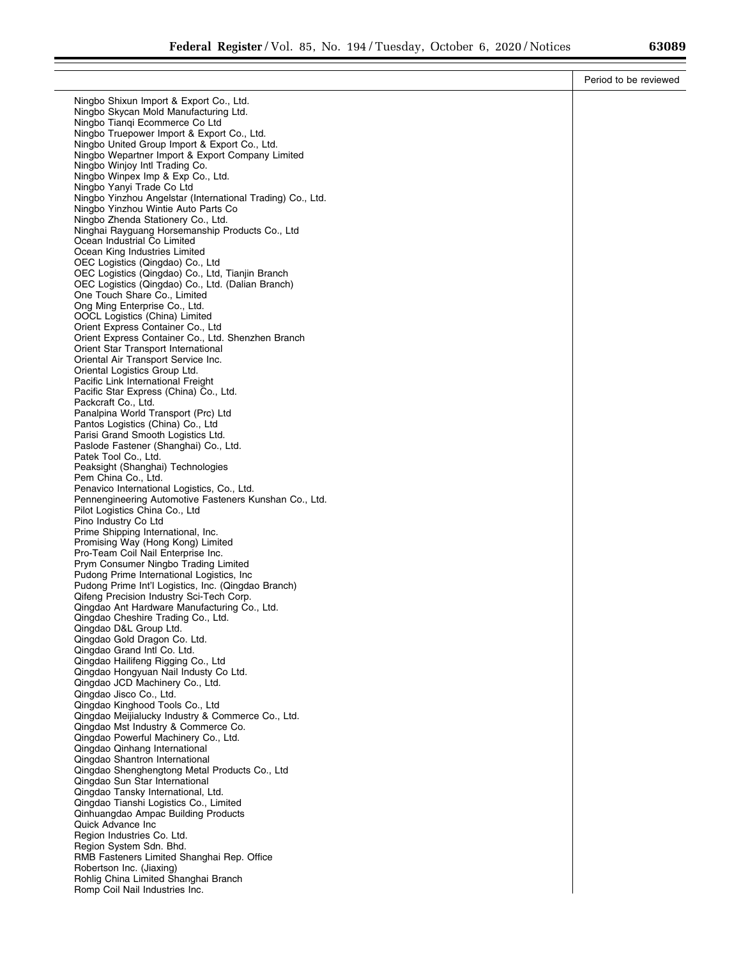|                                                                                                   | Period to be reviewed |
|---------------------------------------------------------------------------------------------------|-----------------------|
| Ningbo Shixun Import & Export Co., Ltd.                                                           |                       |
| Ningbo Skycan Mold Manufacturing Ltd.                                                             |                       |
| Ningbo Tiangi Ecommerce Co Ltd                                                                    |                       |
| Ningbo Truepower Import & Export Co., Ltd.<br>Ningbo United Group Import & Export Co., Ltd.       |                       |
| Ningbo Wepartner Import & Export Company Limited                                                  |                       |
| Ningbo Winjoy Intl Trading Co.                                                                    |                       |
| Ningbo Winpex Imp & Exp Co., Ltd.                                                                 |                       |
| Ningbo Yanyi Trade Co Ltd                                                                         |                       |
| Ningbo Yinzhou Angelstar (International Trading) Co., Ltd.<br>Ningbo Yinzhou Wintie Auto Parts Co |                       |
| Ningbo Zhenda Stationery Co., Ltd.                                                                |                       |
| Ninghai Rayguang Horsemanship Products Co., Ltd                                                   |                       |
| Ocean Industrial Co Limited                                                                       |                       |
| Ocean King Industries Limited                                                                     |                       |
| OEC Logistics (Qingdao) Co., Ltd<br>OEC Logistics (Qingdao) Co., Ltd, Tianjin Branch              |                       |
| OEC Logistics (Qingdao) Co., Ltd. (Dalian Branch)                                                 |                       |
| One Touch Share Co., Limited                                                                      |                       |
| Ong Ming Enterprise Co., Ltd.                                                                     |                       |
| OOCL Logistics (China) Limited                                                                    |                       |
| Orient Express Container Co., Ltd<br>Orient Express Container Co., Ltd. Shenzhen Branch           |                       |
| Orient Star Transport International                                                               |                       |
| Oriental Air Transport Service Inc.                                                               |                       |
| Oriental Logistics Group Ltd.                                                                     |                       |
| Pacific Link International Freight                                                                |                       |
| Pacific Star Express (China) Co., Ltd.<br>Packcraft Co., Ltd.                                     |                       |
| Panalpina World Transport (Prc) Ltd                                                               |                       |
| Pantos Logistics (China) Co., Ltd                                                                 |                       |
| Parisi Grand Smooth Logistics Ltd.                                                                |                       |
| Paslode Fastener (Shanghai) Co., Ltd.                                                             |                       |
| Patek Tool Co., Ltd.<br>Peaksight (Shanghai) Technologies                                         |                       |
| Pem China Co., Ltd.                                                                               |                       |
| Penavico International Logistics, Co., Ltd.                                                       |                       |
| Pennengineering Automotive Fasteners Kunshan Co., Ltd.                                            |                       |
| Pilot Logistics China Co., Ltd                                                                    |                       |
| Pino Industry Co Ltd<br>Prime Shipping International, Inc.                                        |                       |
| Promising Way (Hong Kong) Limited                                                                 |                       |
| Pro-Team Coil Nail Enterprise Inc.                                                                |                       |
| Prym Consumer Ningbo Trading Limited                                                              |                       |
| Pudong Prime International Logistics, Inc.<br>Pudong Prime Int'l Logistics, Inc. (Qingdao Branch) |                       |
| Qifeng Precision Industry Sci-Tech Corp.                                                          |                       |
| Qingdao Ant Hardware Manufacturing Co., Ltd.                                                      |                       |
| Qingdao Cheshire Trading Co., Ltd.                                                                |                       |
| Qingdao D&L Group Ltd.                                                                            |                       |
| Qingdao Gold Dragon Co. Ltd.<br>Qingdao Grand Intl Co. Ltd.                                       |                       |
| Qingdao Hailifeng Rigging Co., Ltd                                                                |                       |
| Qingdao Hongyuan Nail Industy Co Ltd.                                                             |                       |
| Qingdao JCD Machinery Co., Ltd.                                                                   |                       |
| Qingdao Jisco Co., Ltd.                                                                           |                       |
| Qingdao Kinghood Tools Co., Ltd                                                                   |                       |
| Qingdao Meijialucky Industry & Commerce Co., Ltd.<br>Qingdao Mst Industry & Commerce Co.          |                       |
| Qingdao Powerful Machinery Co., Ltd.                                                              |                       |
| Qingdao Qinhang International                                                                     |                       |
| Qingdao Shantron International                                                                    |                       |
| Qingdao Shenghengtong Metal Products Co., Ltd<br>Qingdao Sun Star International                   |                       |
| Qingdao Tansky International, Ltd.                                                                |                       |
| Qingdao Tianshi Logistics Co., Limited                                                            |                       |
| Qinhuangdao Ampac Building Products                                                               |                       |
| Quick Advance Inc                                                                                 |                       |
| Region Industries Co. Ltd.                                                                        |                       |
| Region System Sdn. Bhd.<br>RMB Fasteners Limited Shanghai Rep. Office                             |                       |
| Robertson Inc. (Jiaxing)                                                                          |                       |
| Rohlig China Limited Shanghai Branch                                                              |                       |
| Romp Coil Nail Industries Inc.                                                                    |                       |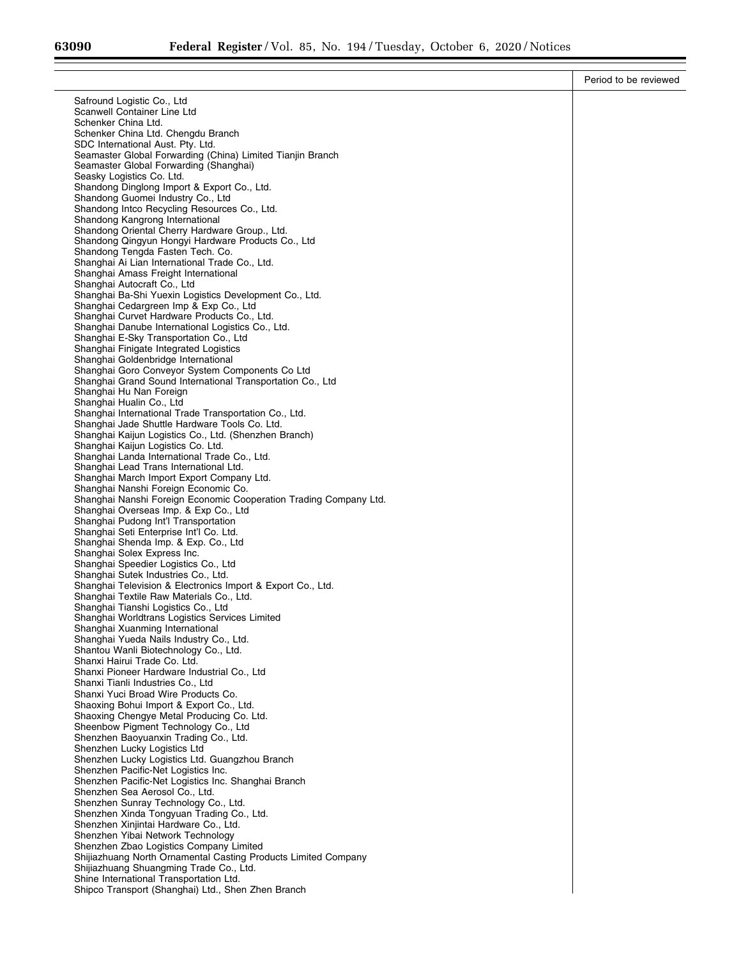≡

|                                                                                                               | Period to be reviewed |
|---------------------------------------------------------------------------------------------------------------|-----------------------|
| Safround Logistic Co., Ltd.                                                                                   |                       |
| Scanwell Container Line Ltd                                                                                   |                       |
| Schenker China Ltd.<br>Schenker China Ltd. Chengdu Branch                                                     |                       |
| SDC International Aust. Pty. Ltd.                                                                             |                       |
| Seamaster Global Forwarding (China) Limited Tianjin Branch                                                    |                       |
| Seamaster Global Forwarding (Shanghai)                                                                        |                       |
| Seasky Logistics Co. Ltd.<br>Shandong Dinglong Import & Export Co., Ltd.                                      |                       |
| Shandong Guomei Industry Co., Ltd                                                                             |                       |
| Shandong Intco Recycling Resources Co., Ltd.                                                                  |                       |
| Shandong Kangrong International<br>Shandong Oriental Cherry Hardware Group., Ltd.                             |                       |
| Shandong Qingyun Hongyi Hardware Products Co., Ltd                                                            |                       |
| Shandong Tengda Fasten Tech. Co.                                                                              |                       |
| Shanghai Ai Lian International Trade Co., Ltd.                                                                |                       |
| Shanghai Amass Freight International<br>Shanghai Autocraft Co., Ltd                                           |                       |
| Shanghai Ba-Shi Yuexin Logistics Development Co., Ltd.                                                        |                       |
| Shanghai Cedargreen Imp & Exp Co., Ltd                                                                        |                       |
| Shanghai Curvet Hardware Products Co., Ltd.<br>Shanghai Danube International Logistics Co., Ltd.              |                       |
| Shanghai E-Sky Transportation Co., Ltd                                                                        |                       |
| Shanghai Finigate Integrated Logistics                                                                        |                       |
| Shanghai Goldenbridge International                                                                           |                       |
| Shanghai Goro Conveyor System Components Co Ltd<br>Shanghai Grand Sound International Transportation Co., Ltd |                       |
| Shanghai Hu Nan Foreign                                                                                       |                       |
| Shanghai Hualin Co., Ltd                                                                                      |                       |
| Shanghai International Trade Transportation Co., Ltd.<br>Shanghai Jade Shuttle Hardware Tools Co. Ltd.        |                       |
| Shanghai Kaijun Logistics Co., Ltd. (Shenzhen Branch)                                                         |                       |
| Shanghai Kaijun Logistics Co. Ltd.                                                                            |                       |
| Shanghai Landa International Trade Co., Ltd.                                                                  |                       |
| Shanghai Lead Trans International Ltd.<br>Shanghai March Import Export Company Ltd.                           |                       |
| Shanghai Nanshi Foreign Economic Co.                                                                          |                       |
| Shanghai Nanshi Foreign Economic Cooperation Trading Company Ltd.                                             |                       |
| Shanghai Overseas Imp. & Exp Co., Ltd                                                                         |                       |
| Shanghai Pudong Int'l Transportation<br>Shanghai Seti Enterprise Int'l Co. Ltd.                               |                       |
| Shanghai Shenda Imp. & Exp. Co., Ltd.                                                                         |                       |
| Shanghai Solex Express Inc.                                                                                   |                       |
| Shanghai Speedier Logistics Co., Ltd<br>Shanghai Sutek Industries Co., Ltd.                                   |                       |
| Shanghai Television & Electronics Import & Export Co., Ltd.                                                   |                       |
| Shanghai Textile Raw Materials Co., Ltd.                                                                      |                       |
| Shanghai Tianshi Logistics Co., Ltd                                                                           |                       |
| Shanghai Worldtrans Logistics Services Limited<br>Shanghai Xuanming International                             |                       |
| Shanghai Yueda Nails Industry Co., Ltd.                                                                       |                       |
| Shantou Wanli Biotechnology Co., Ltd.                                                                         |                       |
| Shanxi Hairui Trade Co. Ltd.<br>Shanxi Pioneer Hardware Industrial Co., Ltd                                   |                       |
| Shanxi Tianli Industries Co., Ltd                                                                             |                       |
| Shanxi Yuci Broad Wire Products Co.                                                                           |                       |
| Shaoxing Bohui Import & Export Co., Ltd.                                                                      |                       |
| Shaoxing Chengye Metal Producing Co. Ltd.<br>Sheenbow Pigment Technology Co., Ltd                             |                       |
| Shenzhen Baoyuanxin Trading Co., Ltd.                                                                         |                       |
| Shenzhen Lucky Logistics Ltd                                                                                  |                       |
| Shenzhen Lucky Logistics Ltd. Guangzhou Branch                                                                |                       |
| Shenzhen Pacific-Net Logistics Inc.<br>Shenzhen Pacific-Net Logistics Inc. Shanghai Branch                    |                       |
| Shenzhen Sea Aerosol Co., Ltd.                                                                                |                       |
| Shenzhen Sunray Technology Co., Ltd.                                                                          |                       |
| Shenzhen Xinda Tongyuan Trading Co., Ltd.<br>Shenzhen Xinjintai Hardware Co., Ltd.                            |                       |
| Shenzhen Yibai Network Technology                                                                             |                       |
| Shenzhen Zbao Logistics Company Limited                                                                       |                       |
| Shijiazhuang North Ornamental Casting Products Limited Company                                                |                       |
| Shijiazhuang Shuangming Trade Co., Ltd.<br>Shine International Transportation Ltd.                            |                       |
| Shipco Transport (Shanghai) Ltd., Shen Zhen Branch                                                            |                       |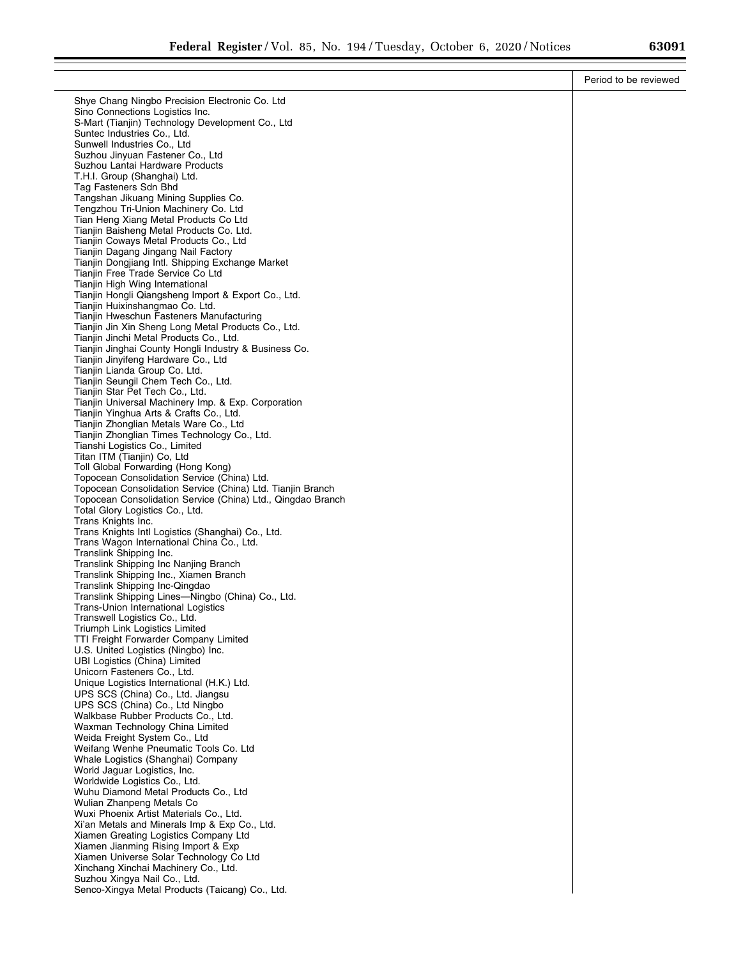|                                                                                                 | Period to be reviewed |
|-------------------------------------------------------------------------------------------------|-----------------------|
| Shye Chang Ningbo Precision Electronic Co. Ltd.                                                 |                       |
| Sino Connections Logistics Inc.                                                                 |                       |
| S-Mart (Tianjin) Technology Development Co., Ltd                                                |                       |
| Suntec Industries Co., Ltd.<br>Sunwell Industries Co., Ltd                                      |                       |
| Suzhou Jinyuan Fastener Co., Ltd                                                                |                       |
| Suzhou Lantai Hardware Products                                                                 |                       |
| T.H.I. Group (Shanghai) Ltd.                                                                    |                       |
| Tag Fasteners Sdn Bhd<br>Tangshan Jikuang Mining Supplies Co.                                   |                       |
| Tengzhou Tri-Union Machinery Co. Ltd                                                            |                       |
| Tian Heng Xiang Metal Products Co Ltd                                                           |                       |
| Tianjin Baisheng Metal Products Co. Ltd.                                                        |                       |
| Tianjin Coways Metal Products Co., Ltd<br>Tianjin Dagang Jingang Nail Factory                   |                       |
| Tianjin Dongjiang Intl. Shipping Exchange Market                                                |                       |
| Tianjin Free Trade Service Co Ltd                                                               |                       |
| Tianjin High Wing International                                                                 |                       |
| Tianjin Hongli Qiangsheng Import & Export Co., Ltd.<br>Tianjin Huixinshangmao Co. Ltd.          |                       |
| Tianjin Hweschun Fasteners Manufacturing                                                        |                       |
| Tianjin Jin Xin Sheng Long Metal Products Co., Ltd.                                             |                       |
| Tianjin Jinchi Metal Products Co., Ltd.                                                         |                       |
| Tianjin Jinghai County Hongli Industry & Business Co.<br>Tianjin Jinyifeng Hardware Co., Ltd    |                       |
| Tianjin Lianda Group Co. Ltd.                                                                   |                       |
| Tianjin Seungil Chem Tech Co., Ltd.                                                             |                       |
| Tianjin Star Pet Tech Co., Ltd.                                                                 |                       |
| Tianjin Universal Machinery Imp. & Exp. Corporation<br>Tianjin Yinghua Arts & Crafts Co., Ltd.  |                       |
| Tianjin Zhonglian Metals Ware Co., Ltd                                                          |                       |
| Tianjin Zhonglian Times Technology Co., Ltd.                                                    |                       |
| Tianshi Logistics Co., Limited                                                                  |                       |
| Titan ITM (Tianjin) Co, Ltd<br>Toll Global Forwarding (Hong Kong)                               |                       |
| Topocean Consolidation Service (China) Ltd.                                                     |                       |
| Topocean Consolidation Service (China) Ltd. Tianjin Branch                                      |                       |
| Topocean Consolidation Service (China) Ltd., Qingdao Branch<br>Total Glory Logistics Co., Ltd.  |                       |
| Trans Knights Inc.                                                                              |                       |
| Trans Knights Intl Logistics (Shanghai) Co., Ltd.                                               |                       |
| Trans Wagon International China Co., Ltd.                                                       |                       |
| Translink Shipping Inc.<br>Translink Shipping Inc Nanjing Branch                                |                       |
| Translink Shipping Inc., Xiamen Branch                                                          |                       |
| Translink Shipping Inc-Qingdao                                                                  |                       |
| Translink Shipping Lines—Ningbo (China) Co., Ltd.<br><b>Trans-Union International Logistics</b> |                       |
| Transwell Logistics Co., Ltd.                                                                   |                       |
| Triumph Link Logistics Limited                                                                  |                       |
| TTI Freight Forwarder Company Limited                                                           |                       |
| U.S. United Logistics (Ningbo) Inc.<br>UBI Logistics (China) Limited                            |                       |
| Unicorn Fasteners Co., Ltd.                                                                     |                       |
| Unique Logistics International (H.K.) Ltd.                                                      |                       |
| UPS SCS (China) Co., Ltd. Jiangsu                                                               |                       |
| UPS SCS (China) Co., Ltd Ningbo<br>Walkbase Rubber Products Co., Ltd.                           |                       |
| Waxman Technology China Limited                                                                 |                       |
| Weida Freight System Co., Ltd                                                                   |                       |
| Weifang Wenhe Pneumatic Tools Co. Ltd<br>Whale Logistics (Shanghai) Company                     |                       |
| World Jaguar Logistics, Inc.                                                                    |                       |
| Worldwide Logistics Co., Ltd.                                                                   |                       |
| Wuhu Diamond Metal Products Co., Ltd                                                            |                       |
| Wulian Zhanpeng Metals Co<br>Wuxi Phoenix Artist Materials Co., Ltd.                            |                       |
| Xi'an Metals and Minerals Imp & Exp Co., Ltd.                                                   |                       |
| Xiamen Greating Logistics Company Ltd                                                           |                       |
| Xiamen Jianming Rising Import & Exp                                                             |                       |
| Xiamen Universe Solar Technology Co Ltd<br>Xinchang Xinchai Machinery Co., Ltd.                 |                       |
| Suzhou Xingya Nail Co., Ltd.                                                                    |                       |
| Senco-Xingya Metal Products (Taicang) Co., Ltd.                                                 |                       |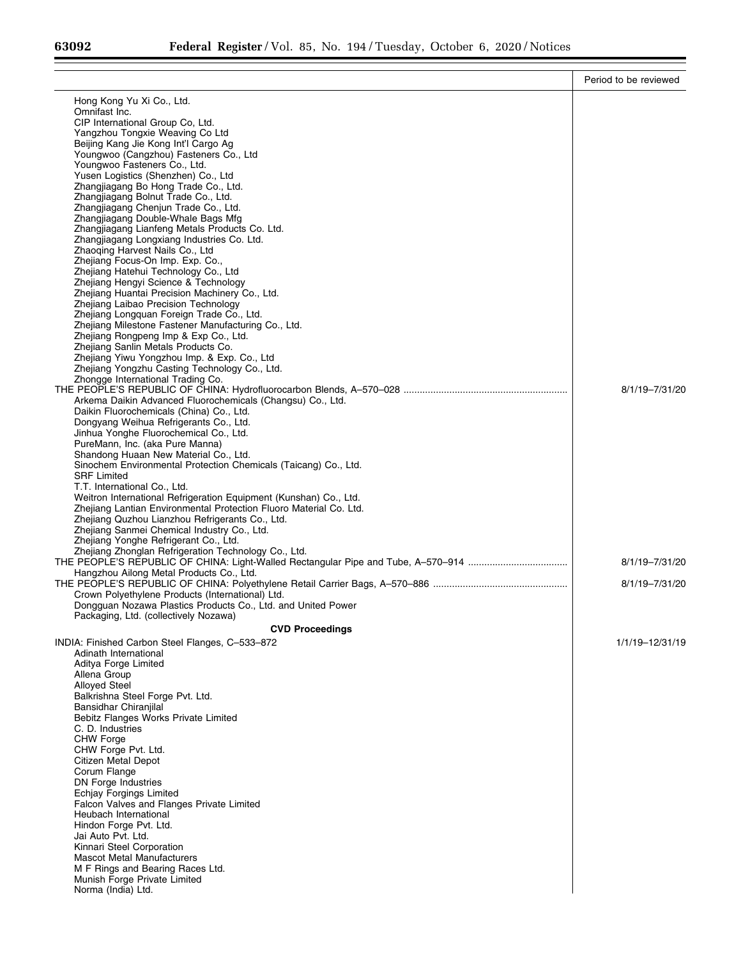|                                                                                                | Period to be reviewed |
|------------------------------------------------------------------------------------------------|-----------------------|
| Hong Kong Yu Xi Co., Ltd.                                                                      |                       |
| Omnifast Inc.                                                                                  |                       |
| CIP International Group Co, Ltd.<br>Yangzhou Tongxie Weaving Co Ltd                            |                       |
| Beijing Kang Jie Kong Int'l Cargo Ag                                                           |                       |
| Youngwoo (Cangzhou) Fasteners Co., Ltd                                                         |                       |
| Youngwoo Fasteners Co., Ltd.<br>Yusen Logistics (Shenzhen) Co., Ltd                            |                       |
| Zhangjiagang Bo Hong Trade Co., Ltd.                                                           |                       |
| Zhangjiagang Bolnut Trade Co., Ltd.                                                            |                       |
| Zhangjiagang Chenjun Trade Co., Ltd.<br>Zhangjiagang Double-Whale Bags Mfg                     |                       |
| Zhangjiagang Lianfeng Metals Products Co. Ltd.                                                 |                       |
| Zhangjiagang Longxiang Industries Co. Ltd.                                                     |                       |
| Zhaoging Harvest Nails Co., Ltd<br>Zhejiang Focus-On Imp. Exp. Co.,                            |                       |
| Zhejiang Hatehui Technology Co., Ltd                                                           |                       |
| Zhejiang Hengyi Science & Technology                                                           |                       |
| Zhejiang Huantai Precision Machinery Co., Ltd.<br>Zhejiang Laibao Precision Technology         |                       |
| Zhejiang Longquan Foreign Trade Co., Ltd.                                                      |                       |
| Zhejiang Milestone Fastener Manufacturing Co., Ltd.                                            |                       |
| Zhejiang Rongpeng Imp & Exp Co., Ltd.                                                          |                       |
| Zhejiang Sanlin Metals Products Co.<br>Zhejiang Yiwu Yongzhou Imp. & Exp. Co., Ltd             |                       |
| Zhejiang Yongzhu Casting Technology Co., Ltd.                                                  |                       |
| Zhongge International Trading Co.                                                              |                       |
| Arkema Daikin Advanced Fluorochemicals (Changsu) Co., Ltd.                                     | 8/1/19-7/31/20        |
| Daikin Fluorochemicals (China) Co., Ltd.                                                       |                       |
| Dongyang Weihua Refrigerants Co., Ltd.                                                         |                       |
| Jinhua Yonghe Fluorochemical Co., Ltd.<br>PureMann, Inc. (aka Pure Manna)                      |                       |
| Shandong Huaan New Material Co., Ltd.                                                          |                       |
| Sinochem Environmental Protection Chemicals (Taicang) Co., Ltd.                                |                       |
| <b>SRF Limited</b><br>T.T. International Co., Ltd.                                             |                       |
| Weitron International Refrigeration Equipment (Kunshan) Co., Ltd.                              |                       |
| Zhejiang Lantian Environmental Protection Fluoro Material Co. Ltd.                             |                       |
| Zhejiang Quzhou Lianzhou Refrigerants Co., Ltd.<br>Zhejiang Sanmei Chemical Industry Co., Ltd. |                       |
| Zhejiang Yonghe Refrigerant Co., Ltd.                                                          |                       |
| Zhejiang Zhonglan Refrigeration Technology Co., Ltd.                                           |                       |
| Hangzhou Ailong Metal Products Co., Ltd.                                                       | 8/1/19-7/31/20        |
|                                                                                                | 8/1/19-7/31/20        |
| Crown Polyethylene Products (International) Ltd.                                               |                       |
| Dongguan Nozawa Plastics Products Co., Ltd. and United Power                                   |                       |
| Packaging, Ltd. (collectively Nozawa)<br><b>CVD Proceedings</b>                                |                       |
| INDIA: Finished Carbon Steel Flanges, C-533-872                                                | 1/1/19-12/31/19       |
| Adinath International                                                                          |                       |
| Aditya Forge Limited<br>Allena Group                                                           |                       |
| <b>Alloyed Steel</b>                                                                           |                       |
| Balkrishna Steel Forge Pvt. Ltd.                                                               |                       |
| Bansidhar Chiranjilal<br>Bebitz Flanges Works Private Limited                                  |                       |
| C. D. Industries                                                                               |                       |
| <b>CHW Forge</b>                                                                               |                       |
| CHW Forge Pvt. Ltd.<br>Citizen Metal Depot                                                     |                       |
| Corum Flange                                                                                   |                       |
| DN Forge Industries                                                                            |                       |
| Echjay Forgings Limited<br>Falcon Valves and Flanges Private Limited                           |                       |
| Heubach International                                                                          |                       |
| Hindon Forge Pvt. Ltd.                                                                         |                       |
| Jai Auto Pvt. Ltd.<br>Kinnari Steel Corporation                                                |                       |
| <b>Mascot Metal Manufacturers</b>                                                              |                       |
| M F Rings and Bearing Races Ltd.                                                               |                       |
| Munish Forge Private Limited<br>Norma (India) Ltd.                                             |                       |
|                                                                                                |                       |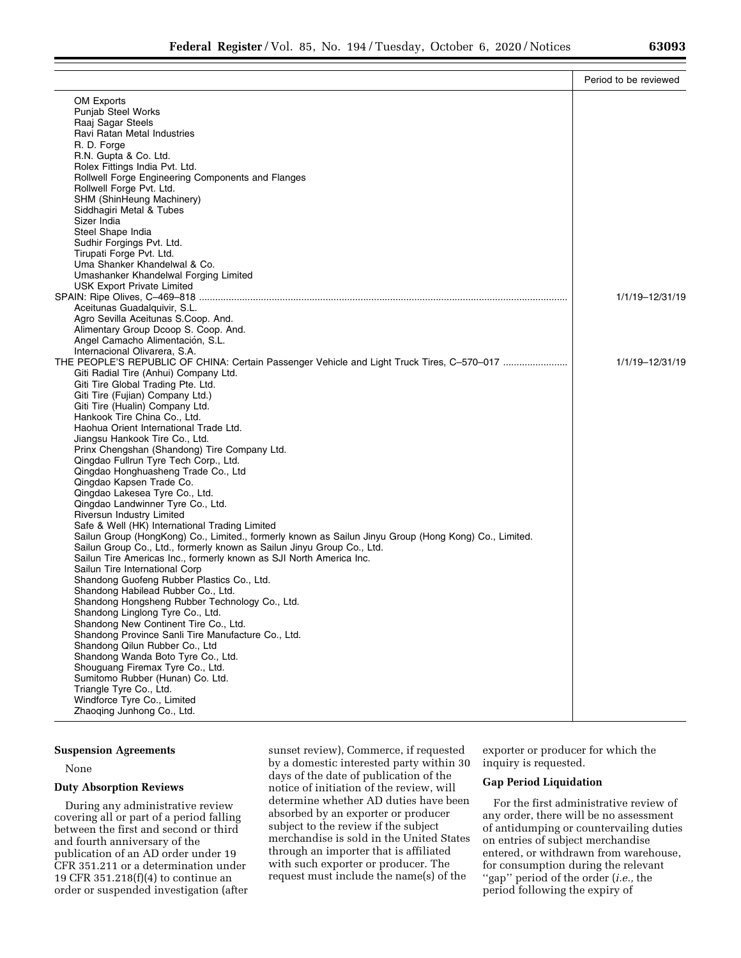|                                                                                                       | Period to be reviewed |
|-------------------------------------------------------------------------------------------------------|-----------------------|
| OM Exports                                                                                            |                       |
| <b>Punjab Steel Works</b>                                                                             |                       |
| Raaj Sagar Steels                                                                                     |                       |
| Ravi Ratan Metal Industries                                                                           |                       |
| R. D. Forge                                                                                           |                       |
|                                                                                                       |                       |
| R.N. Gupta & Co. Ltd.                                                                                 |                       |
| Rolex Fittings India Pvt. Ltd.                                                                        |                       |
| Rollwell Forge Engineering Components and Flanges                                                     |                       |
| Rollwell Forge Pvt. Ltd.                                                                              |                       |
| SHM (ShinHeung Machinery)                                                                             |                       |
| Siddhagiri Metal & Tubes                                                                              |                       |
| Sizer India                                                                                           |                       |
| Steel Shape India                                                                                     |                       |
| Sudhir Forgings Pvt. Ltd.                                                                             |                       |
| Tirupati Forge Pvt. Ltd.                                                                              |                       |
| Uma Shanker Khandelwal & Co.                                                                          |                       |
| Umashanker Khandelwal Forging Limited                                                                 |                       |
| USK Export Private Limited                                                                            |                       |
|                                                                                                       | 1/1/19-12/31/19       |
| Aceitunas Guadalquivir, S.L.                                                                          |                       |
| Agro Sevilla Aceitunas S.Coop. And.                                                                   |                       |
| Alimentary Group Dcoop S. Coop. And.                                                                  |                       |
| Angel Camacho Alimentación, S.L.                                                                      |                       |
| Internacional Olivarera, S.A.                                                                         |                       |
| THE PEOPLE'S REPUBLIC OF CHINA: Certain Passenger Vehicle and Light Truck Tires, C-570-017            | 1/1/19-12/31/19       |
| Giti Radial Tire (Anhui) Company Ltd.                                                                 |                       |
| Giti Tire Global Trading Pte. Ltd.                                                                    |                       |
| Giti Tire (Fujian) Company Ltd.)                                                                      |                       |
| Giti Tire (Hualin) Company Ltd.                                                                       |                       |
| Hankook Tire China Co., Ltd.                                                                          |                       |
| Haohua Orient International Trade Ltd.                                                                |                       |
| Jiangsu Hankook Tire Co., Ltd.                                                                        |                       |
| Prinx Chengshan (Shandong) Tire Company Ltd.                                                          |                       |
| Qingdao Fullrun Tyre Tech Corp., Ltd.                                                                 |                       |
| Qingdao Honghuasheng Trade Co., Ltd                                                                   |                       |
| Qingdao Kapsen Trade Co.                                                                              |                       |
| Qingdao Lakesea Tyre Co., Ltd.                                                                        |                       |
| Qingdao Landwinner Tyre Co., Ltd.                                                                     |                       |
| <b>Riversun Industry Limited</b>                                                                      |                       |
| Safe & Well (HK) International Trading Limited                                                        |                       |
| Sailun Group (HongKong) Co., Limited., formerly known as Sailun Jinyu Group (Hong Kong) Co., Limited. |                       |
| Sailun Group Co., Ltd., formerly known as Sailun Jinyu Group Co., Ltd.                                |                       |
| Sailun Tire Americas Inc., formerly known as SJI North America Inc.                                   |                       |
| Sailun Tire International Corp                                                                        |                       |
| Shandong Guofeng Rubber Plastics Co., Ltd.                                                            |                       |
| Shandong Habilead Rubber Co., Ltd.                                                                    |                       |
| Shandong Hongsheng Rubber Technology Co., Ltd.                                                        |                       |
| Shandong Linglong Tyre Co., Ltd.                                                                      |                       |
| Shandong New Continent Tire Co., Ltd.                                                                 |                       |
| Shandong Province Sanli Tire Manufacture Co., Ltd.                                                    |                       |
| Shandong Qilun Rubber Co., Ltd                                                                        |                       |
| Shandong Wanda Boto Tyre Co., Ltd.                                                                    |                       |
| Shouguang Firemax Tyre Co., Ltd.                                                                      |                       |
| Sumitomo Rubber (Hunan) Co. Ltd.                                                                      |                       |
| Triangle Tyre Co., Ltd.                                                                               |                       |
| Windforce Tyre Co., Limited                                                                           |                       |
| Zhaoqing Junhong Co., Ltd.                                                                            |                       |

# **Suspension Agreements**

## None

## **Duty Absorption Reviews**

During any administrative review covering all or part of a period falling between the first and second or third and fourth anniversary of the publication of an AD order under 19 CFR 351.211 or a determination under 19 CFR 351.218(f)(4) to continue an order or suspended investigation (after

sunset review), Commerce, if requested by a domestic interested party within 30 days of the date of publication of the notice of initiation of the review, will determine whether AD duties have been absorbed by an exporter or producer subject to the review if the subject merchandise is sold in the United States through an importer that is affiliated with such exporter or producer. The request must include the name(s) of the

exporter or producer for which the inquiry is requested.

# **Gap Period Liquidation**

For the first administrative review of any order, there will be no assessment of antidumping or countervailing duties on entries of subject merchandise entered, or withdrawn from warehouse, for consumption during the relevant ''gap'' period of the order (*i.e.,* the period following the expiry of